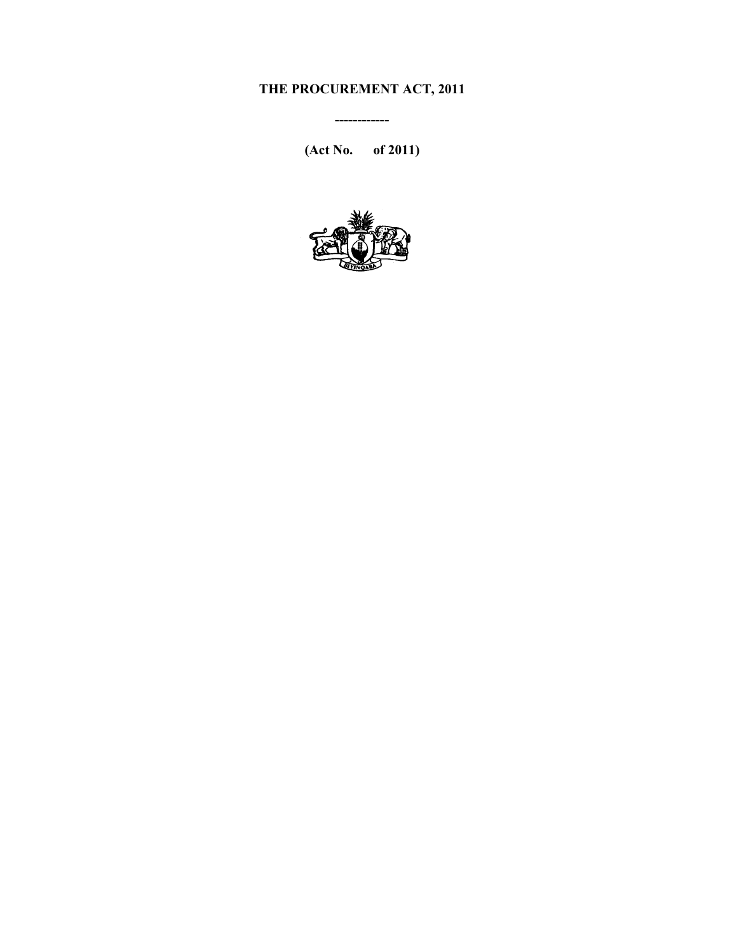# **THE PROCUREMENT ACT, 2011**

**(Act No. of 2011)** 

**------------** 

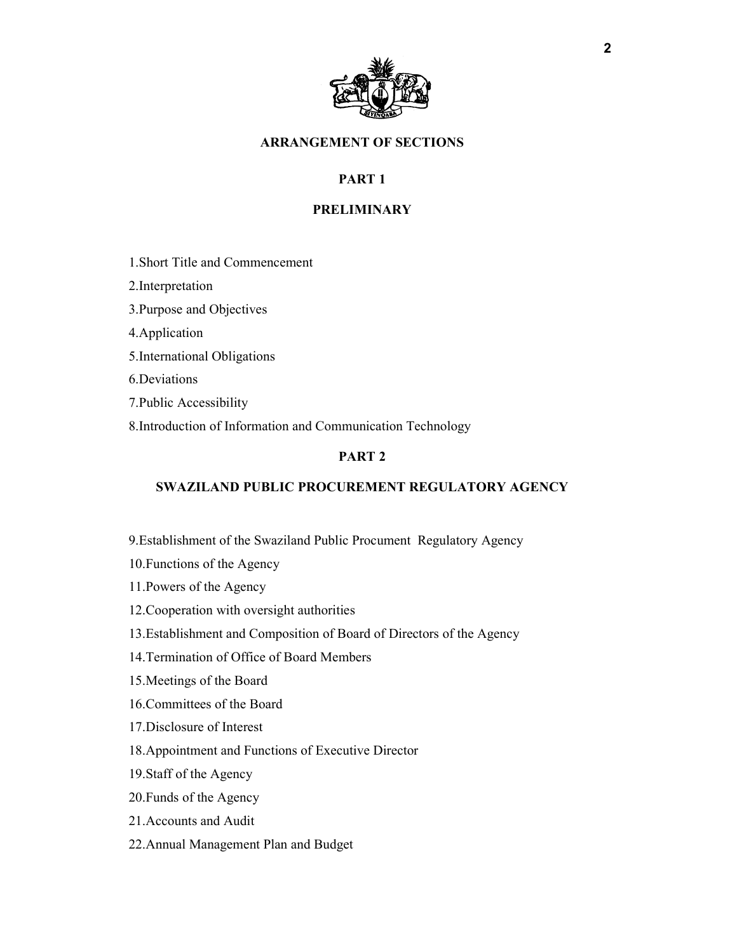

## **ARRANGEMENT OF SECTIONS**

# **PART 1**

### **PRELIMINARY**

- 1.Short Title and Commencement
- 2.Interpretation
- 3.Purpose and Objectives
- 4.Application
- 5.International Obligations
- 6.Deviations
- 7.Public Accessibility
- 8.Introduction of Information and Communication Technology

## **PART 2**

#### **SWAZILAND PUBLIC PROCUREMENT REGULATORY AGENCY**

- 9.Establishment of the Swaziland Public Procument Regulatory Agency
- 10.Functions of the Agency
- 11.Powers of the Agency
- 12.Cooperation with oversight authorities
- 13.Establishment and Composition of Board of Directors of the Agency
- 14.Termination of Office of Board Members
- 15.Meetings of the Board
- 16.Committees of the Board
- 17.Disclosure of Interest
- 18.Appointment and Functions of Executive Director
- 19.Staff of the Agency
- 20.Funds of the Agency
- 21.Accounts and Audit
- 22.Annual Management Plan and Budget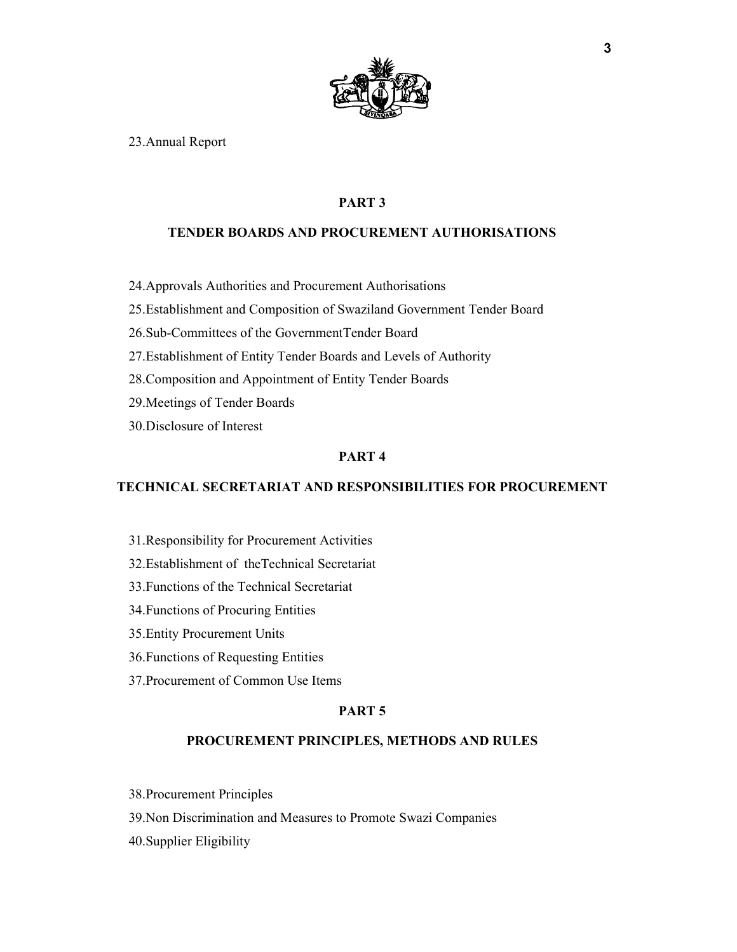

23.Annual Report

## **PART 3**

#### **TENDER BOARDS AND PROCUREMENT AUTHORISATIONS**

24.Approvals Authorities and Procurement Authorisations

25.Establishment and Composition of Swaziland Government Tender Board

- 26.Sub-Committees of the GovernmentTender Board
- 27.Establishment of Entity Tender Boards and Levels of Authority
- 28.Composition and Appointment of Entity Tender Boards
- 29.Meetings of Tender Boards
- 30.Disclosure of Interest

## **PART 4**

## **TECHNICAL SECRETARIAT AND RESPONSIBILITIES FOR PROCUREMENT**

- 31.Responsibility for Procurement Activities
- 32.Establishment of theTechnical Secretariat
- 33.Functions of the Technical Secretariat
- 34.Functions of Procuring Entities
- 35.Entity Procurement Units
- 36.Functions of Requesting Entities
- 37.Procurement of Common Use Items

#### **PART 5**

#### **PROCUREMENT PRINCIPLES, METHODS AND RULES**

- 38.Procurement Principles
- 39.Non Discrimination and Measures to Promote Swazi Companies
- 40.Supplier Eligibility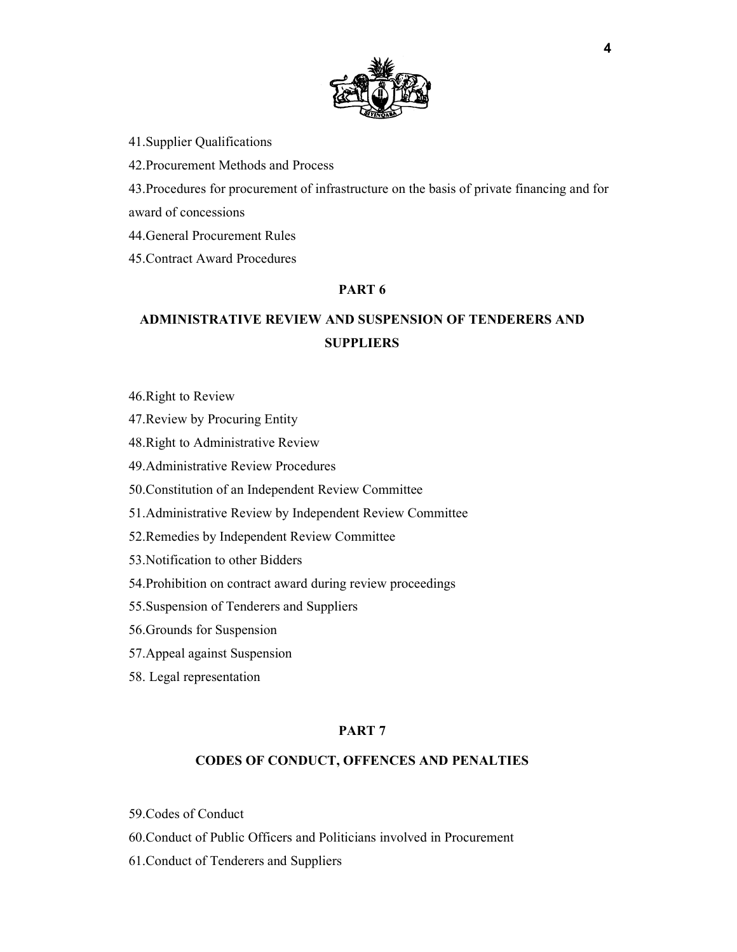

41.Supplier Qualifications

42.Procurement Methods and Process

43.Procedures for procurement of infrastructure on the basis of private financing and for award of concessions

44.General Procurement Rules

45.Contract Award Procedures

### **PART 6**

# **ADMINISTRATIVE REVIEW AND SUSPENSION OF TENDERERS AND SUPPLIERS**

46.Right to Review

47.Review by Procuring Entity

48.Right to Administrative Review

49.Administrative Review Procedures

50.Constitution of an Independent Review Committee

51.Administrative Review by Independent Review Committee

52.Remedies by Independent Review Committee

53.Notification to other Bidders

54.Prohibition on contract award during review proceedings

55.Suspension of Tenderers and Suppliers

56.Grounds for Suspension

57.Appeal against Suspension

58. Legal representation

#### **PART 7**

### **CODES OF CONDUCT, OFFENCES AND PENALTIES**

59.Codes of Conduct

60.Conduct of Public Officers and Politicians involved in Procurement

61.Conduct of Tenderers and Suppliers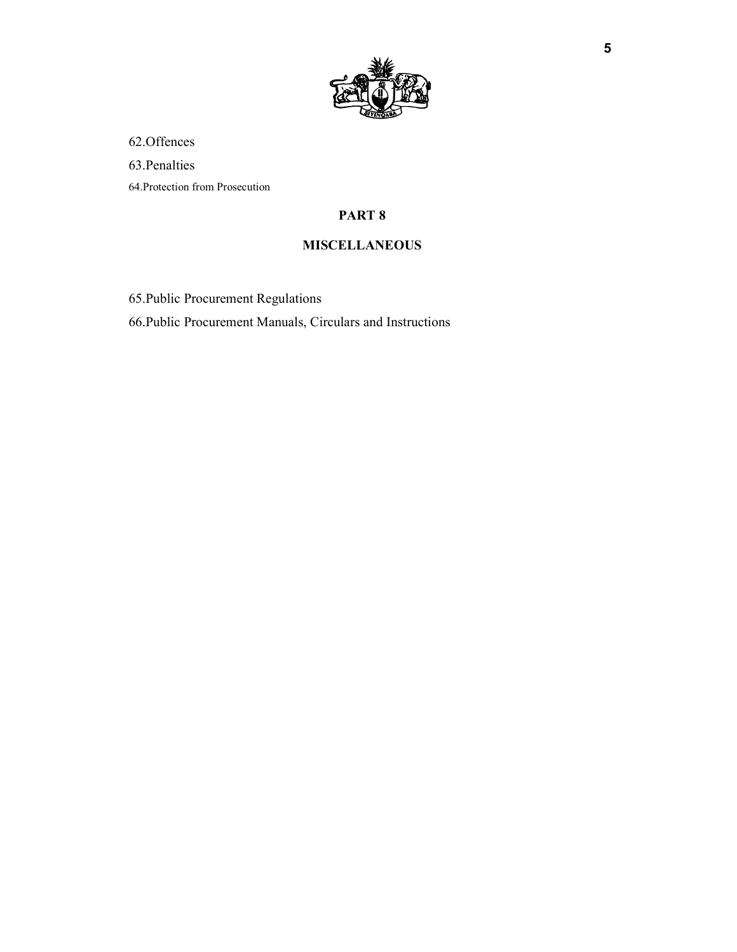

62.Offences

63.Penalties

64.Protection from Prosecution

# **PART 8**

## **MISCELLANEOUS**

65.Public Procurement Regulations

66.Public Procurement Manuals, Circulars and Instructions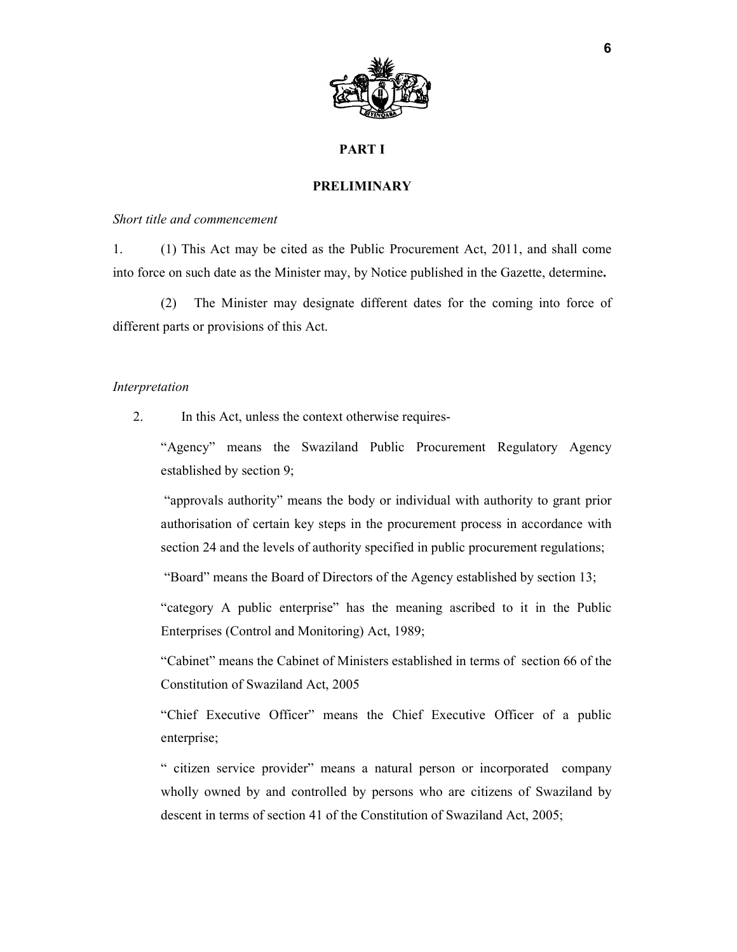

#### **PART I**

#### **PRELIMINARY**

#### *Short title and commencement*

1. (1) This Act may be cited as the Public Procurement Act, 2011, and shall come into force on such date as the Minister may, by Notice published in the Gazette, determine**.** 

(2) The Minister may designate different dates for the coming into force of different parts or provisions of this Act.

#### *Interpretation*

2. In this Act, unless the context otherwise requires-

"Agency" means the Swaziland Public Procurement Regulatory Agency established by section 9;

 "approvals authority" means the body or individual with authority to grant prior authorisation of certain key steps in the procurement process in accordance with section 24 and the levels of authority specified in public procurement regulations;

"Board" means the Board of Directors of the Agency established by section 13;

"category A public enterprise" has the meaning ascribed to it in the Public Enterprises (Control and Monitoring) Act, 1989;

"Cabinet" means the Cabinet of Ministers established in terms of section 66 of the Constitution of Swaziland Act, 2005

"Chief Executive Officer" means the Chief Executive Officer of a public enterprise;

" citizen service provider" means a natural person or incorporated company wholly owned by and controlled by persons who are citizens of Swaziland by descent in terms of section 41 of the Constitution of Swaziland Act, 2005;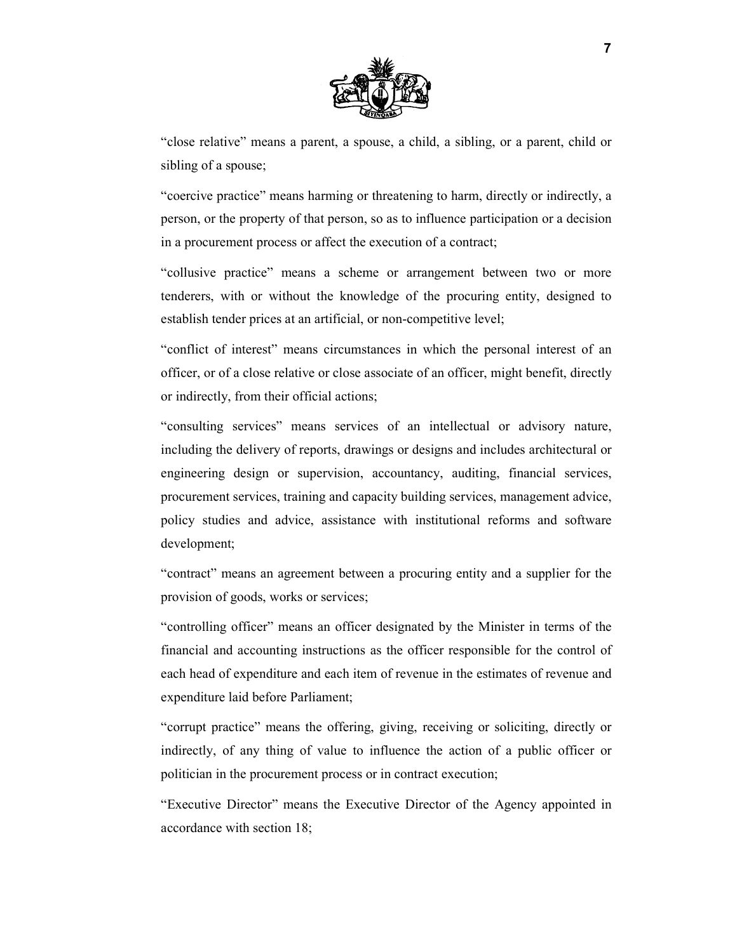

"close relative" means a parent, a spouse, a child, a sibling, or a parent, child or sibling of a spouse;

"coercive practice" means harming or threatening to harm, directly or indirectly, a person, or the property of that person, so as to influence participation or a decision in a procurement process or affect the execution of a contract;

"collusive practice" means a scheme or arrangement between two or more tenderers, with or without the knowledge of the procuring entity, designed to establish tender prices at an artificial, or non-competitive level;

"conflict of interest" means circumstances in which the personal interest of an officer, or of a close relative or close associate of an officer, might benefit, directly or indirectly, from their official actions;

"consulting services" means services of an intellectual or advisory nature, including the delivery of reports, drawings or designs and includes architectural or engineering design or supervision, accountancy, auditing, financial services, procurement services, training and capacity building services, management advice, policy studies and advice, assistance with institutional reforms and software development;

"contract" means an agreement between a procuring entity and a supplier for the provision of goods, works or services;

"controlling officer" means an officer designated by the Minister in terms of the financial and accounting instructions as the officer responsible for the control of each head of expenditure and each item of revenue in the estimates of revenue and expenditure laid before Parliament;

"corrupt practice" means the offering, giving, receiving or soliciting, directly or indirectly, of any thing of value to influence the action of a public officer or politician in the procurement process or in contract execution;

"Executive Director" means the Executive Director of the Agency appointed in accordance with section 18;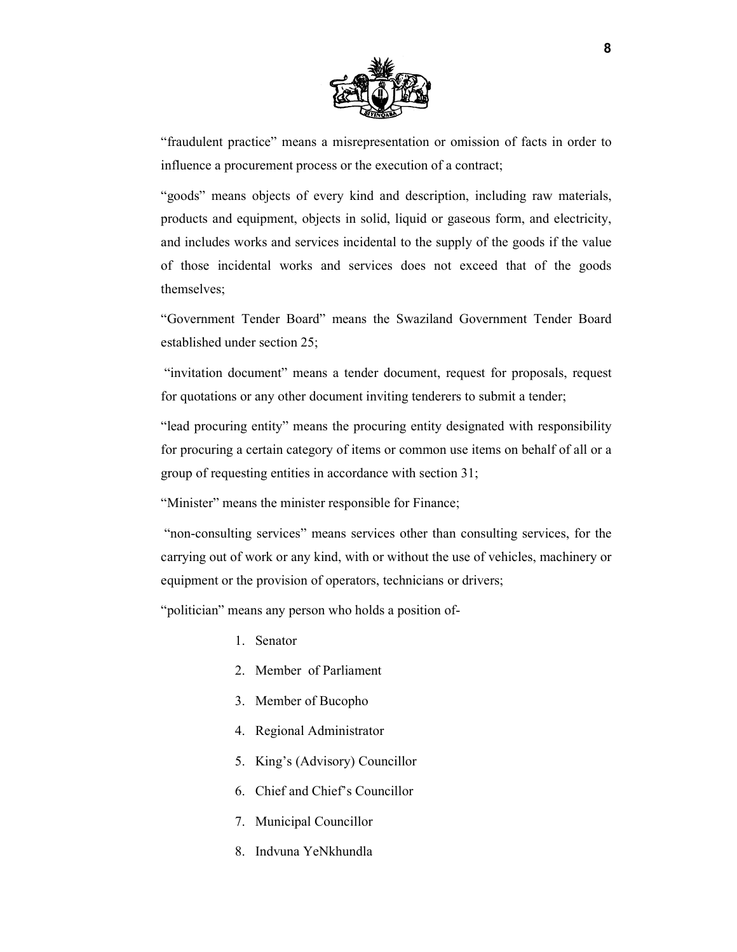

"fraudulent practice" means a misrepresentation or omission of facts in order to influence a procurement process or the execution of a contract;

"goods" means objects of every kind and description, including raw materials, products and equipment, objects in solid, liquid or gaseous form, and electricity, and includes works and services incidental to the supply of the goods if the value of those incidental works and services does not exceed that of the goods themselves;

"Government Tender Board" means the Swaziland Government Tender Board established under section 25;

 "invitation document" means a tender document, request for proposals, request for quotations or any other document inviting tenderers to submit a tender;

"lead procuring entity" means the procuring entity designated with responsibility for procuring a certain category of items or common use items on behalf of all or a group of requesting entities in accordance with section 31;

"Minister" means the minister responsible for Finance;

 "non-consulting services" means services other than consulting services, for the carrying out of work or any kind, with or without the use of vehicles, machinery or equipment or the provision of operators, technicians or drivers;

"politician" means any person who holds a position of-

- 1. Senator
- 2. Member of Parliament
- 3. Member of Bucopho
- 4. Regional Administrator
- 5. King's (Advisory) Councillor
- 6. Chief and Chief's Councillor
- 7. Municipal Councillor
- 8. Indvuna YeNkhundla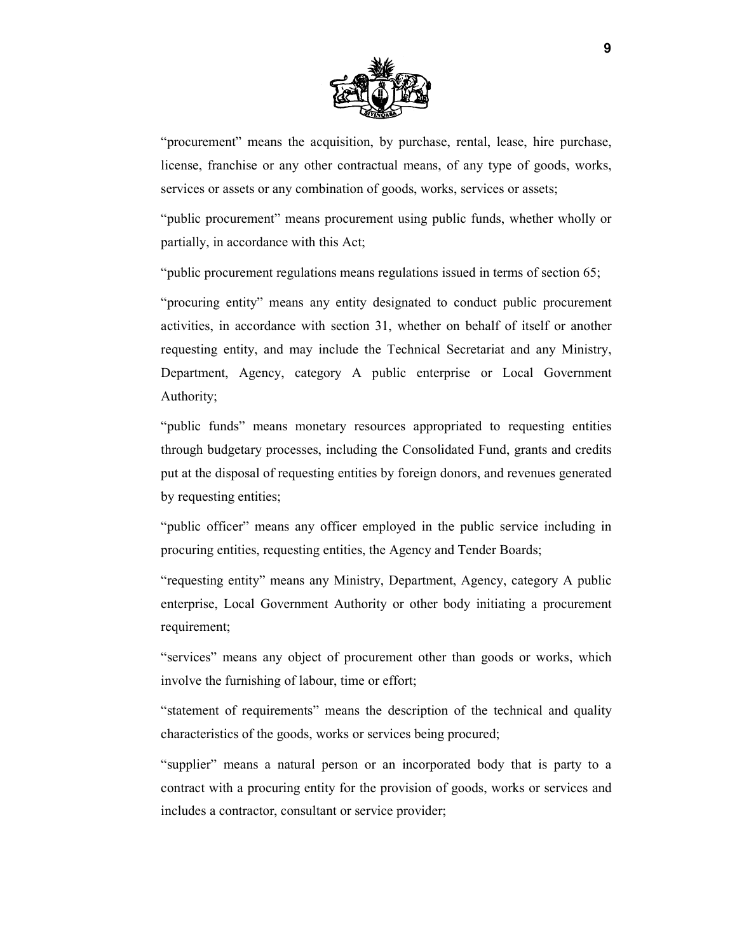

"procurement" means the acquisition, by purchase, rental, lease, hire purchase, license, franchise or any other contractual means, of any type of goods, works, services or assets or any combination of goods, works, services or assets;

"public procurement" means procurement using public funds, whether wholly or partially, in accordance with this Act;

"public procurement regulations means regulations issued in terms of section 65;

"procuring entity" means any entity designated to conduct public procurement activities, in accordance with section 31, whether on behalf of itself or another requesting entity, and may include the Technical Secretariat and any Ministry, Department, Agency, category A public enterprise or Local Government Authority;

"public funds" means monetary resources appropriated to requesting entities through budgetary processes, including the Consolidated Fund, grants and credits put at the disposal of requesting entities by foreign donors, and revenues generated by requesting entities;

"public officer" means any officer employed in the public service including in procuring entities, requesting entities, the Agency and Tender Boards;

"requesting entity" means any Ministry, Department, Agency, category A public enterprise, Local Government Authority or other body initiating a procurement requirement;

"services" means any object of procurement other than goods or works, which involve the furnishing of labour, time or effort;

"statement of requirements" means the description of the technical and quality characteristics of the goods, works or services being procured;

"supplier" means a natural person or an incorporated body that is party to a contract with a procuring entity for the provision of goods, works or services and includes a contractor, consultant or service provider;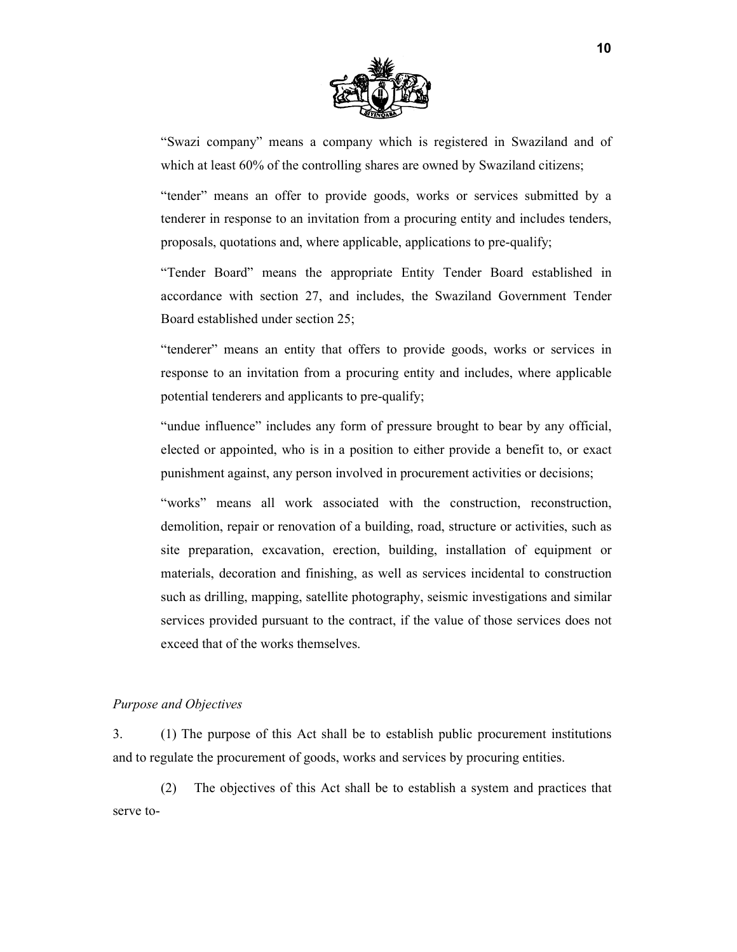

"Swazi company" means a company which is registered in Swaziland and of which at least 60% of the controlling shares are owned by Swaziland citizens;

"tender" means an offer to provide goods, works or services submitted by a tenderer in response to an invitation from a procuring entity and includes tenders, proposals, quotations and, where applicable, applications to pre-qualify;

"Tender Board" means the appropriate Entity Tender Board established in accordance with section 27, and includes, the Swaziland Government Tender Board established under section 25;

"tenderer" means an entity that offers to provide goods, works or services in response to an invitation from a procuring entity and includes, where applicable potential tenderers and applicants to pre-qualify;

"undue influence" includes any form of pressure brought to bear by any official, elected or appointed, who is in a position to either provide a benefit to, or exact punishment against, any person involved in procurement activities or decisions;

"works" means all work associated with the construction, reconstruction, demolition, repair or renovation of a building, road, structure or activities, such as site preparation, excavation, erection, building, installation of equipment or materials, decoration and finishing, as well as services incidental to construction such as drilling, mapping, satellite photography, seismic investigations and similar services provided pursuant to the contract, if the value of those services does not exceed that of the works themselves.

#### *Purpose and Objectives*

3. (1) The purpose of this Act shall be to establish public procurement institutions and to regulate the procurement of goods, works and services by procuring entities.

(2) The objectives of this Act shall be to establish a system and practices that serve to-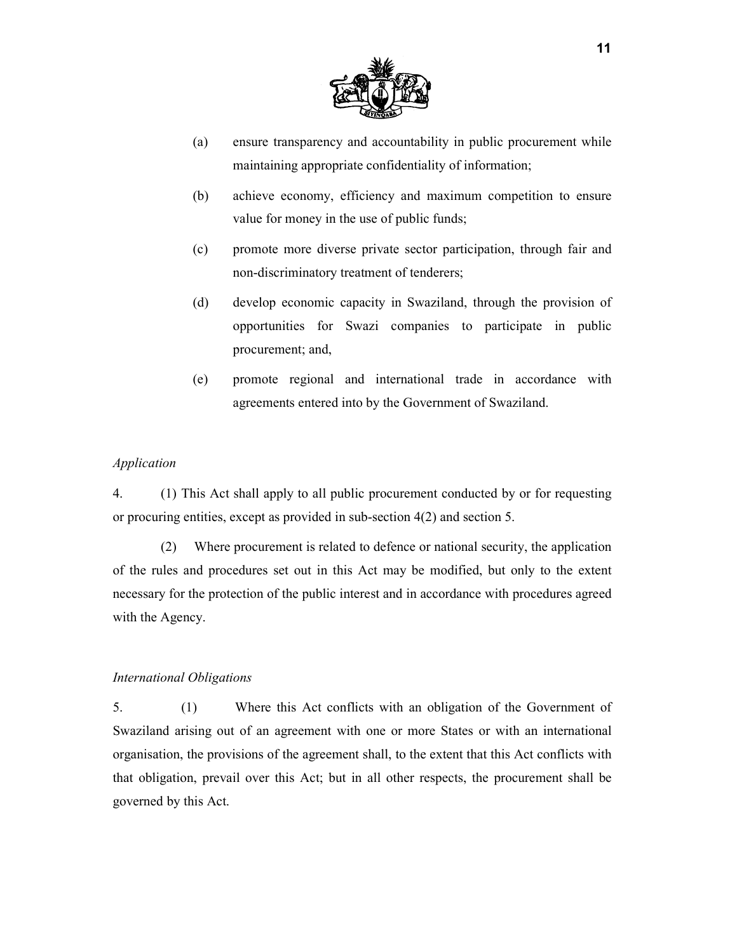

- (a) ensure transparency and accountability in public procurement while maintaining appropriate confidentiality of information;
- (b) achieve economy, efficiency and maximum competition to ensure value for money in the use of public funds;
- (c) promote more diverse private sector participation, through fair and non-discriminatory treatment of tenderers;
- (d) develop economic capacity in Swaziland, through the provision of opportunities for Swazi companies to participate in public procurement; and,
- (e) promote regional and international trade in accordance with agreements entered into by the Government of Swaziland.

## *Application*

4. (1) This Act shall apply to all public procurement conducted by or for requesting or procuring entities, except as provided in sub-section 4(2) and section 5.

(2) Where procurement is related to defence or national security, the application of the rules and procedures set out in this Act may be modified, but only to the extent necessary for the protection of the public interest and in accordance with procedures agreed with the Agency.

## *International Obligations*

5. (1) Where this Act conflicts with an obligation of the Government of Swaziland arising out of an agreement with one or more States or with an international organisation, the provisions of the agreement shall, to the extent that this Act conflicts with that obligation, prevail over this Act; but in all other respects, the procurement shall be governed by this Act.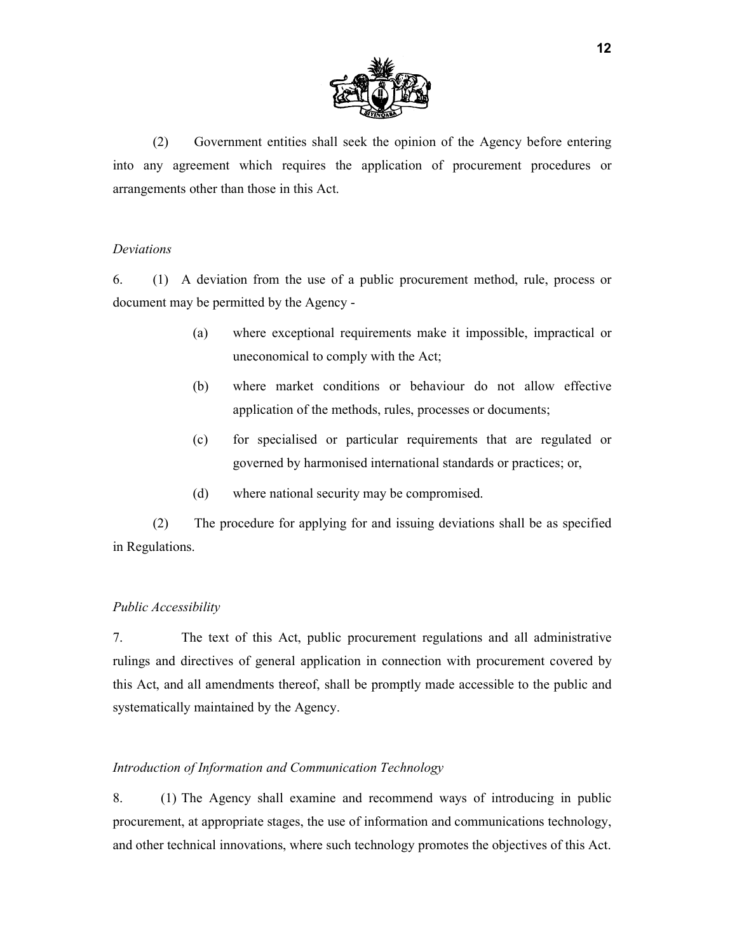

(2) Government entities shall seek the opinion of the Agency before entering into any agreement which requires the application of procurement procedures or arrangements other than those in this Act.

#### *Deviations*

6. (1) A deviation from the use of a public procurement method, rule, process or document may be permitted by the Agency -

- (a) where exceptional requirements make it impossible, impractical or uneconomical to comply with the Act;
- (b) where market conditions or behaviour do not allow effective application of the methods, rules, processes or documents;
- (c) for specialised or particular requirements that are regulated or governed by harmonised international standards or practices; or,
- (d) where national security may be compromised.

(2) The procedure for applying for and issuing deviations shall be as specified in Regulations.

#### *Public Accessibility*

7. The text of this Act, public procurement regulations and all administrative rulings and directives of general application in connection with procurement covered by this Act, and all amendments thereof, shall be promptly made accessible to the public and systematically maintained by the Agency.

#### *Introduction of Information and Communication Technology*

8. (1) The Agency shall examine and recommend ways of introducing in public procurement, at appropriate stages, the use of information and communications technology, and other technical innovations, where such technology promotes the objectives of this Act.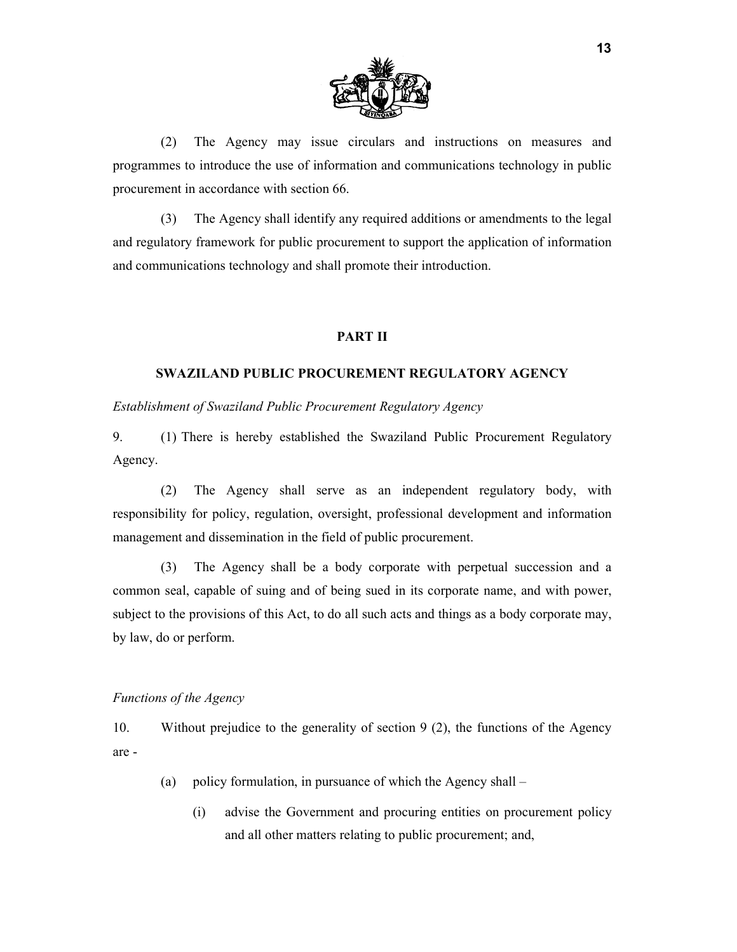

(2) The Agency may issue circulars and instructions on measures and programmes to introduce the use of information and communications technology in public procurement in accordance with section 66.

(3) The Agency shall identify any required additions or amendments to the legal and regulatory framework for public procurement to support the application of information and communications technology and shall promote their introduction.

#### **PART II**

#### **SWAZILAND PUBLIC PROCUREMENT REGULATORY AGENCY**

*Establishment of Swaziland Public Procurement Regulatory Agency* 

9. (1) There is hereby established the Swaziland Public Procurement Regulatory Agency.

(2) The Agency shall serve as an independent regulatory body, with responsibility for policy, regulation, oversight, professional development and information management and dissemination in the field of public procurement.

(3) The Agency shall be a body corporate with perpetual succession and a common seal, capable of suing and of being sued in its corporate name, and with power, subject to the provisions of this Act, to do all such acts and things as a body corporate may, by law, do or perform.

#### *Functions of the Agency*

10. Without prejudice to the generality of section 9 (2), the functions of the Agency are -

- (a) policy formulation, in pursuance of which the Agency shall
	- (i) advise the Government and procuring entities on procurement policy and all other matters relating to public procurement; and,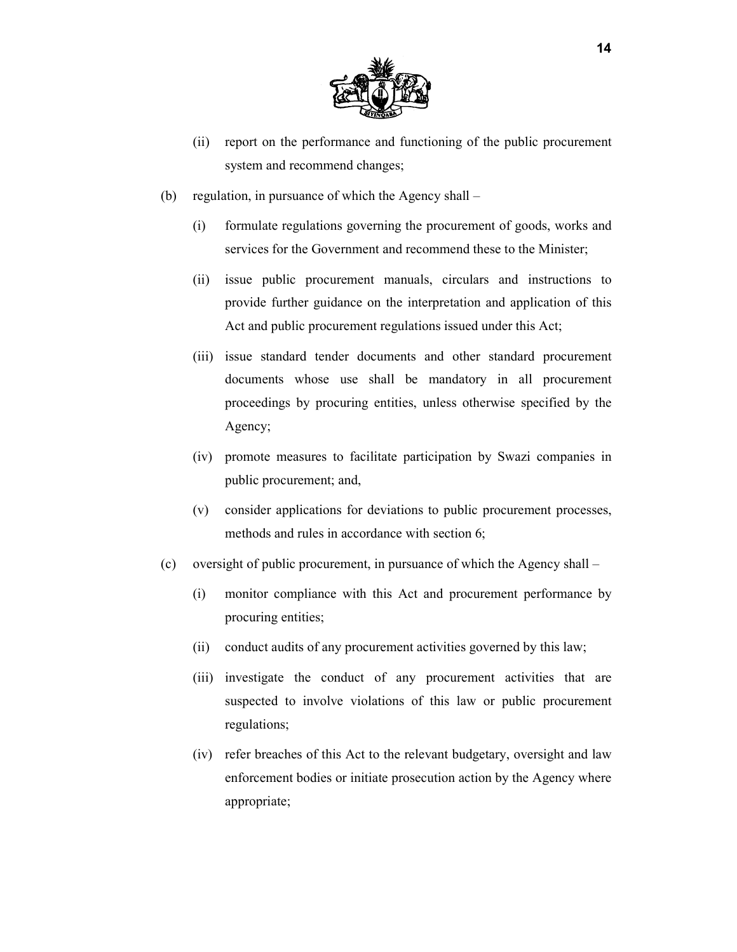

- (ii) report on the performance and functioning of the public procurement system and recommend changes;
- (b) regulation, in pursuance of which the Agency shall
	- (i) formulate regulations governing the procurement of goods, works and services for the Government and recommend these to the Minister;
	- (ii) issue public procurement manuals, circulars and instructions to provide further guidance on the interpretation and application of this Act and public procurement regulations issued under this Act;
	- (iii) issue standard tender documents and other standard procurement documents whose use shall be mandatory in all procurement proceedings by procuring entities, unless otherwise specified by the Agency;
	- (iv) promote measures to facilitate participation by Swazi companies in public procurement; and,
	- (v) consider applications for deviations to public procurement processes, methods and rules in accordance with section 6;
- (c) oversight of public procurement, in pursuance of which the Agency shall
	- (i) monitor compliance with this Act and procurement performance by procuring entities;
	- (ii) conduct audits of any procurement activities governed by this law;
	- (iii) investigate the conduct of any procurement activities that are suspected to involve violations of this law or public procurement regulations;
	- (iv) refer breaches of this Act to the relevant budgetary, oversight and law enforcement bodies or initiate prosecution action by the Agency where appropriate;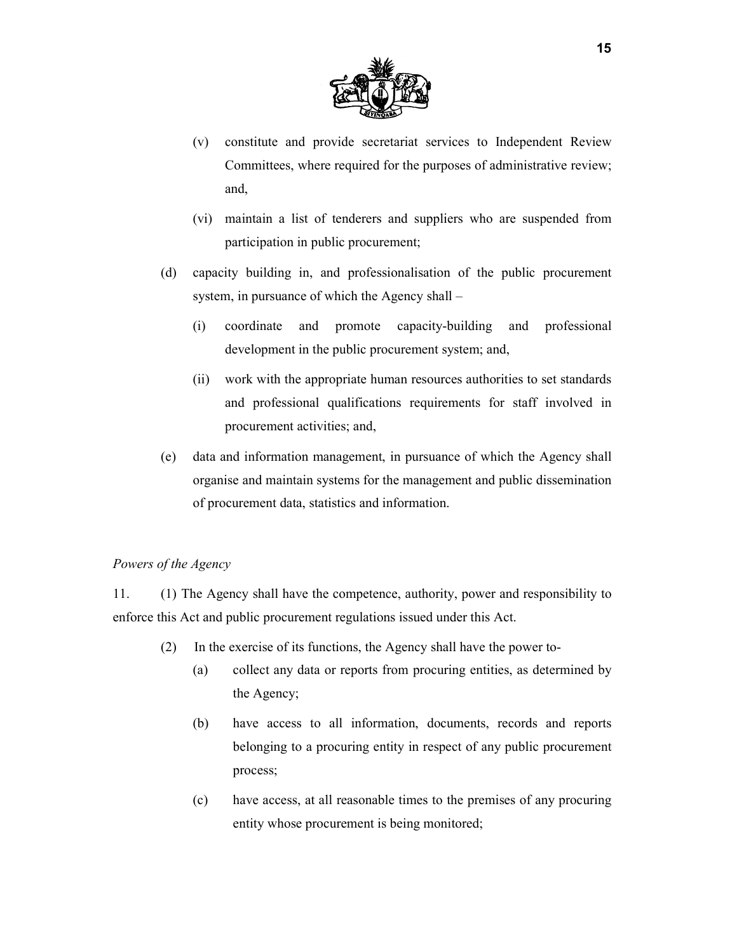

- (v) constitute and provide secretariat services to Independent Review Committees, where required for the purposes of administrative review; and,
- (vi) maintain a list of tenderers and suppliers who are suspended from participation in public procurement;
- (d) capacity building in, and professionalisation of the public procurement system, in pursuance of which the Agency shall –
	- (i) coordinate and promote capacity-building and professional development in the public procurement system; and,
	- (ii) work with the appropriate human resources authorities to set standards and professional qualifications requirements for staff involved in procurement activities; and,
- (e) data and information management, in pursuance of which the Agency shall organise and maintain systems for the management and public dissemination of procurement data, statistics and information.

### *Powers of the Agency*

11. (1) The Agency shall have the competence, authority, power and responsibility to enforce this Act and public procurement regulations issued under this Act.

- (2) In the exercise of its functions, the Agency shall have the power to-
	- (a) collect any data or reports from procuring entities, as determined by the Agency;
	- (b) have access to all information, documents, records and reports belonging to a procuring entity in respect of any public procurement process;
	- (c) have access, at all reasonable times to the premises of any procuring entity whose procurement is being monitored;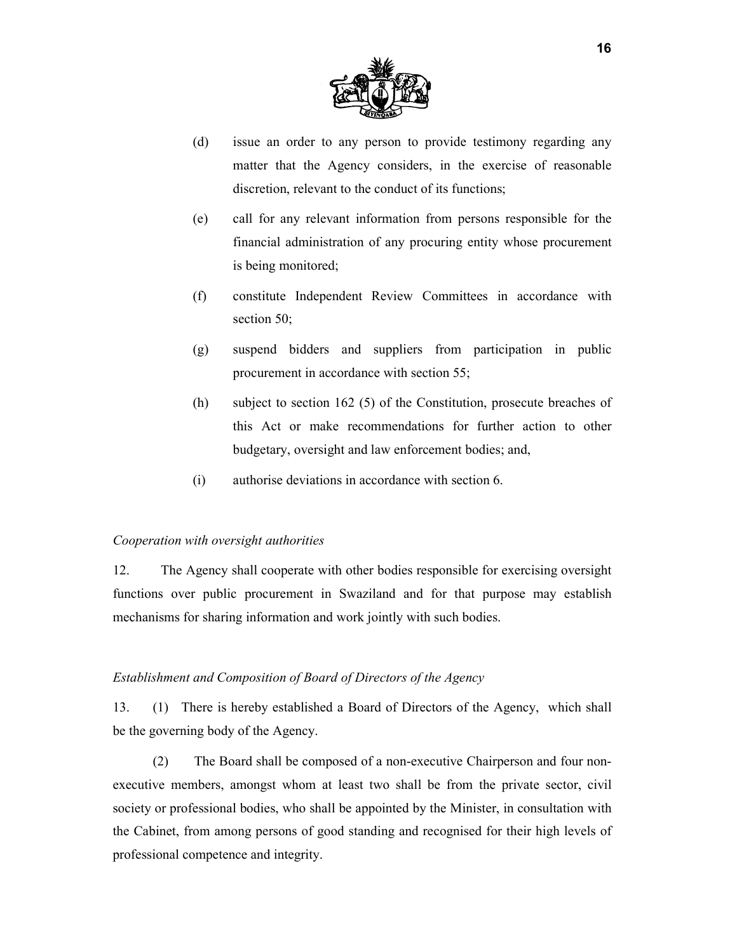

- (d) issue an order to any person to provide testimony regarding any matter that the Agency considers, in the exercise of reasonable discretion, relevant to the conduct of its functions;
- (e) call for any relevant information from persons responsible for the financial administration of any procuring entity whose procurement is being monitored;
- (f) constitute Independent Review Committees in accordance with section 50;
- (g) suspend bidders and suppliers from participation in public procurement in accordance with section 55;
- (h) subject to section 162 (5) of the Constitution, prosecute breaches of this Act or make recommendations for further action to other budgetary, oversight and law enforcement bodies; and,
- (i) authorise deviations in accordance with section 6.

#### *Cooperation with oversight authorities*

12. The Agency shall cooperate with other bodies responsible for exercising oversight functions over public procurement in Swaziland and for that purpose may establish mechanisms for sharing information and work jointly with such bodies.

#### *Establishment and Composition of Board of Directors of the Agency*

13. (1) There is hereby established a Board of Directors of the Agency, which shall be the governing body of the Agency.

(2) The Board shall be composed of a non-executive Chairperson and four nonexecutive members, amongst whom at least two shall be from the private sector, civil society or professional bodies, who shall be appointed by the Minister, in consultation with the Cabinet, from among persons of good standing and recognised for their high levels of professional competence and integrity.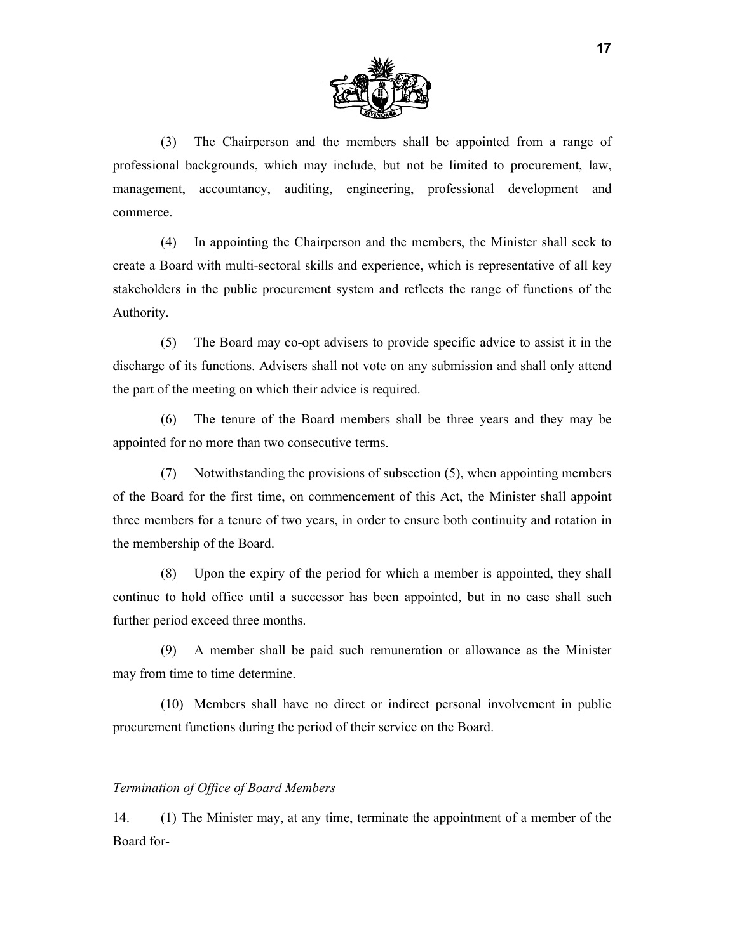

(3) The Chairperson and the members shall be appointed from a range of professional backgrounds, which may include, but not be limited to procurement, law, management, accountancy, auditing, engineering, professional development and commerce.

(4) In appointing the Chairperson and the members, the Minister shall seek to create a Board with multi-sectoral skills and experience, which is representative of all key stakeholders in the public procurement system and reflects the range of functions of the Authority.

(5) The Board may co-opt advisers to provide specific advice to assist it in the discharge of its functions. Advisers shall not vote on any submission and shall only attend the part of the meeting on which their advice is required.

(6) The tenure of the Board members shall be three years and they may be appointed for no more than two consecutive terms.

(7) Notwithstanding the provisions of subsection (5), when appointing members of the Board for the first time, on commencement of this Act, the Minister shall appoint three members for a tenure of two years, in order to ensure both continuity and rotation in the membership of the Board.

(8) Upon the expiry of the period for which a member is appointed, they shall continue to hold office until a successor has been appointed, but in no case shall such further period exceed three months.

(9) A member shall be paid such remuneration or allowance as the Minister may from time to time determine.

(10) Members shall have no direct or indirect personal involvement in public procurement functions during the period of their service on the Board.

#### *Termination of Office of Board Members*

14. (1) The Minister may, at any time, terminate the appointment of a member of the Board for-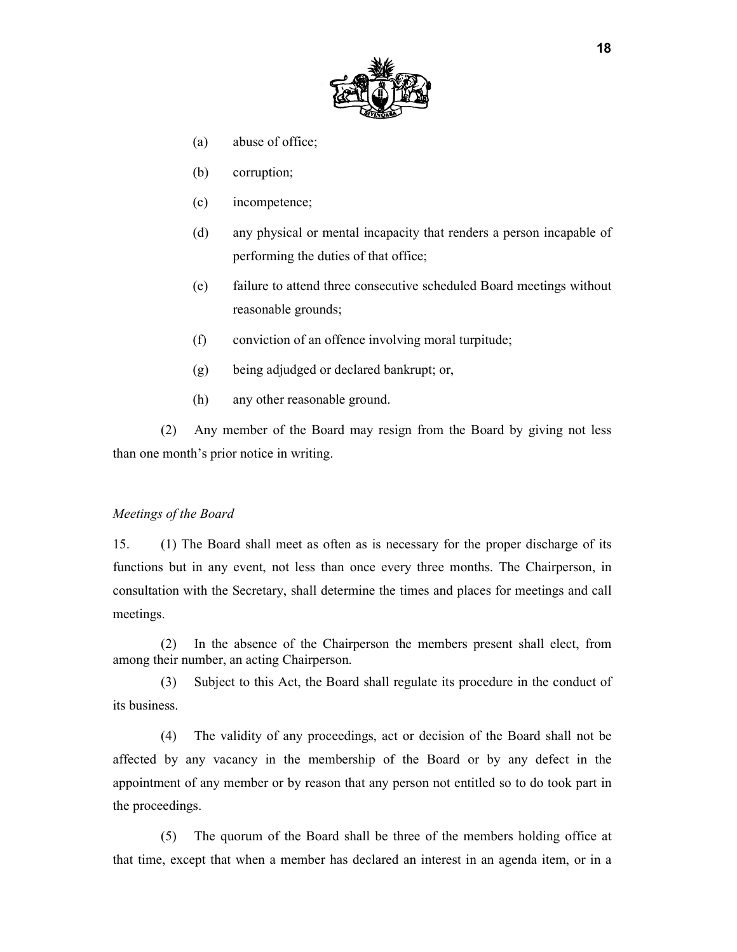

- (a) abuse of office;
- (b) corruption;
- (c) incompetence;
- (d) any physical or mental incapacity that renders a person incapable of performing the duties of that office;
- (e) failure to attend three consecutive scheduled Board meetings without reasonable grounds;
- (f) conviction of an offence involving moral turpitude;
- (g) being adjudged or declared bankrupt; or,
- (h) any other reasonable ground.

(2) Any member of the Board may resign from the Board by giving not less than one month's prior notice in writing.

#### *Meetings of the Board*

15. (1) The Board shall meet as often as is necessary for the proper discharge of its functions but in any event, not less than once every three months. The Chairperson, in consultation with the Secretary, shall determine the times and places for meetings and call meetings.

(2) In the absence of the Chairperson the members present shall elect, from among their number, an acting Chairperson.

(3) Subject to this Act, the Board shall regulate its procedure in the conduct of its business.

(4) The validity of any proceedings, act or decision of the Board shall not be affected by any vacancy in the membership of the Board or by any defect in the appointment of any member or by reason that any person not entitled so to do took part in the proceedings.

(5) The quorum of the Board shall be three of the members holding office at that time, except that when a member has declared an interest in an agenda item, or in a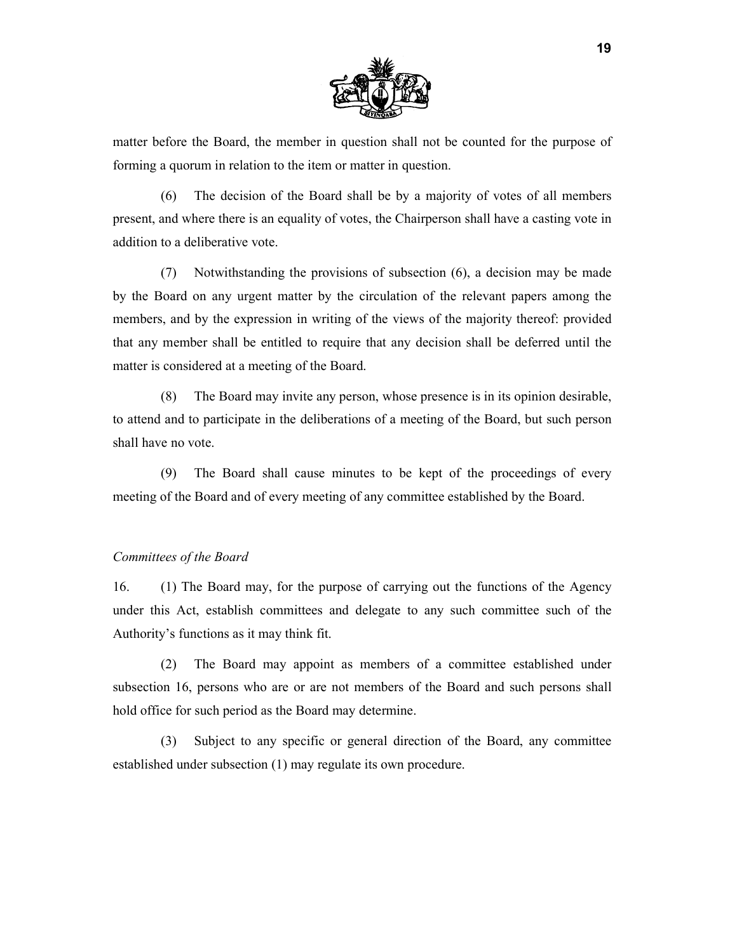

matter before the Board, the member in question shall not be counted for the purpose of forming a quorum in relation to the item or matter in question.

(6) The decision of the Board shall be by a majority of votes of all members present, and where there is an equality of votes, the Chairperson shall have a casting vote in addition to a deliberative vote.

(7) Notwithstanding the provisions of subsection (6), a decision may be made by the Board on any urgent matter by the circulation of the relevant papers among the members, and by the expression in writing of the views of the majority thereof: provided that any member shall be entitled to require that any decision shall be deferred until the matter is considered at a meeting of the Board.

(8) The Board may invite any person, whose presence is in its opinion desirable, to attend and to participate in the deliberations of a meeting of the Board, but such person shall have no vote.

(9) The Board shall cause minutes to be kept of the proceedings of every meeting of the Board and of every meeting of any committee established by the Board.

#### *Committees of the Board*

16. (1) The Board may, for the purpose of carrying out the functions of the Agency under this Act, establish committees and delegate to any such committee such of the Authority's functions as it may think fit.

(2) The Board may appoint as members of a committee established under subsection 16, persons who are or are not members of the Board and such persons shall hold office for such period as the Board may determine.

(3) Subject to any specific or general direction of the Board, any committee established under subsection (1) may regulate its own procedure.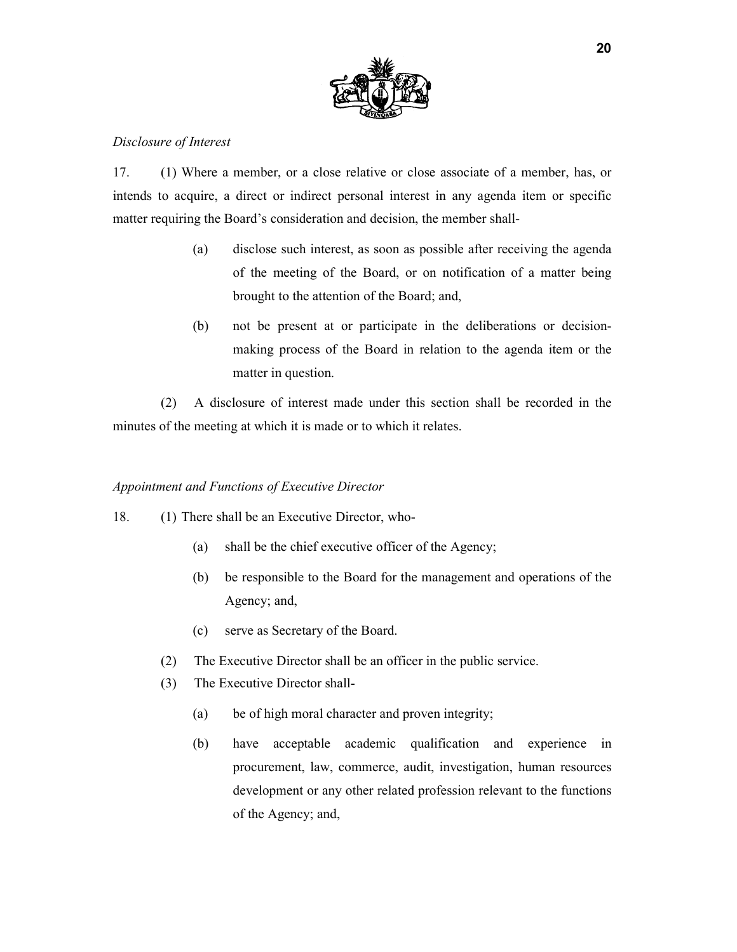

## *Disclosure of Interest*

17. (1) Where a member, or a close relative or close associate of a member, has, or intends to acquire, a direct or indirect personal interest in any agenda item or specific matter requiring the Board's consideration and decision, the member shall-

- (a) disclose such interest, as soon as possible after receiving the agenda of the meeting of the Board, or on notification of a matter being brought to the attention of the Board; and,
- (b) not be present at or participate in the deliberations or decisionmaking process of the Board in relation to the agenda item or the matter in question.

(2) A disclosure of interest made under this section shall be recorded in the minutes of the meeting at which it is made or to which it relates.

#### *Appointment and Functions of Executive Director*

- 18. (1) There shall be an Executive Director, who-
	- (a) shall be the chief executive officer of the Agency;
	- (b) be responsible to the Board for the management and operations of the Agency; and,
	- (c) serve as Secretary of the Board.
	- (2) The Executive Director shall be an officer in the public service.
	- (3) The Executive Director shall-
		- (a) be of high moral character and proven integrity;
		- (b) have acceptable academic qualification and experience in procurement, law, commerce, audit, investigation, human resources development or any other related profession relevant to the functions of the Agency; and,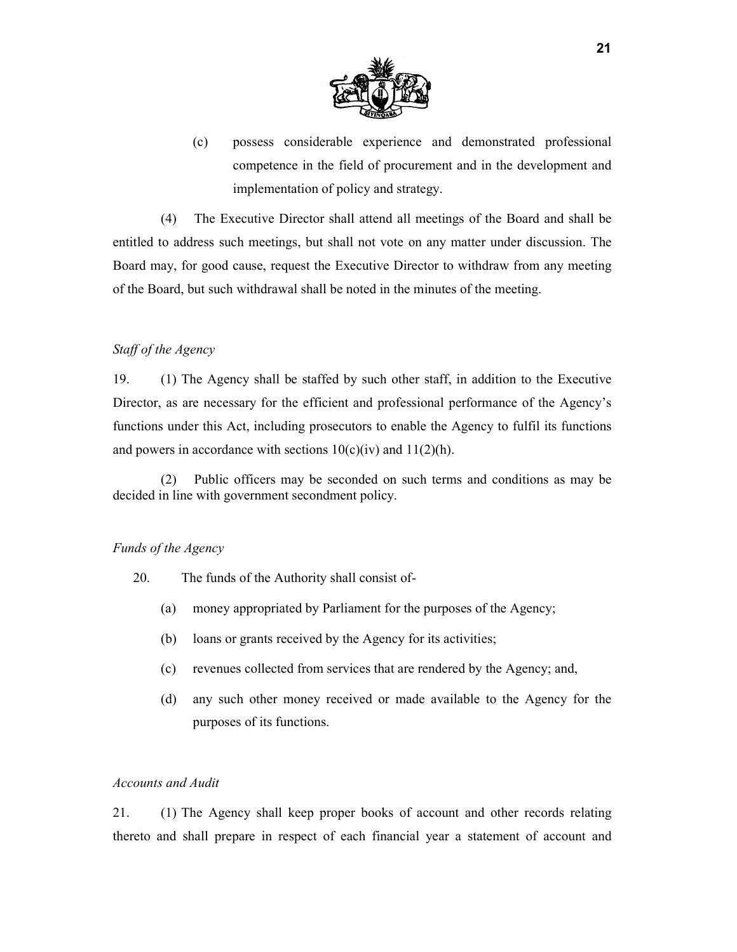

(c) possess considerable experience and demonstrated professional competence in the field of procurement and in the development and implementation of policy and strategy.

(4) The Executive Director shall attend all meetings of the Board and shall be entitled to address such meetings, but shall not vote on any matter under discussion. The Board may, for good cause, request the Executive Director to withdraw from any meeting of the Board, but such withdrawal shall be noted in the minutes of the meeting.

#### *Staff of the Agency*

19. (1) The Agency shall be staffed by such other staff, in addition to the Executive Director, as are necessary for the efficient and professional performance of the Agency's functions under this Act, including prosecutors to enable the Agency to fulfil its functions and powers in accordance with sections  $10(c)(iv)$  and  $11(2)(h)$ .

(2) Public officers may be seconded on such terms and conditions as may be decided in line with government secondment policy.

### *Funds of the Agency*

- 20. The funds of the Authority shall consist of-
	- (a) money appropriated by Parliament for the purposes of the Agency;
	- (b) loans or grants received by the Agency for its activities;
	- (c) revenues collected from services that are rendered by the Agency; and,
	- (d) any such other money received or made available to the Agency for the purposes of its functions.

## *Accounts and Audit*

21. (1) The Agency shall keep proper books of account and other records relating thereto and shall prepare in respect of each financial year a statement of account and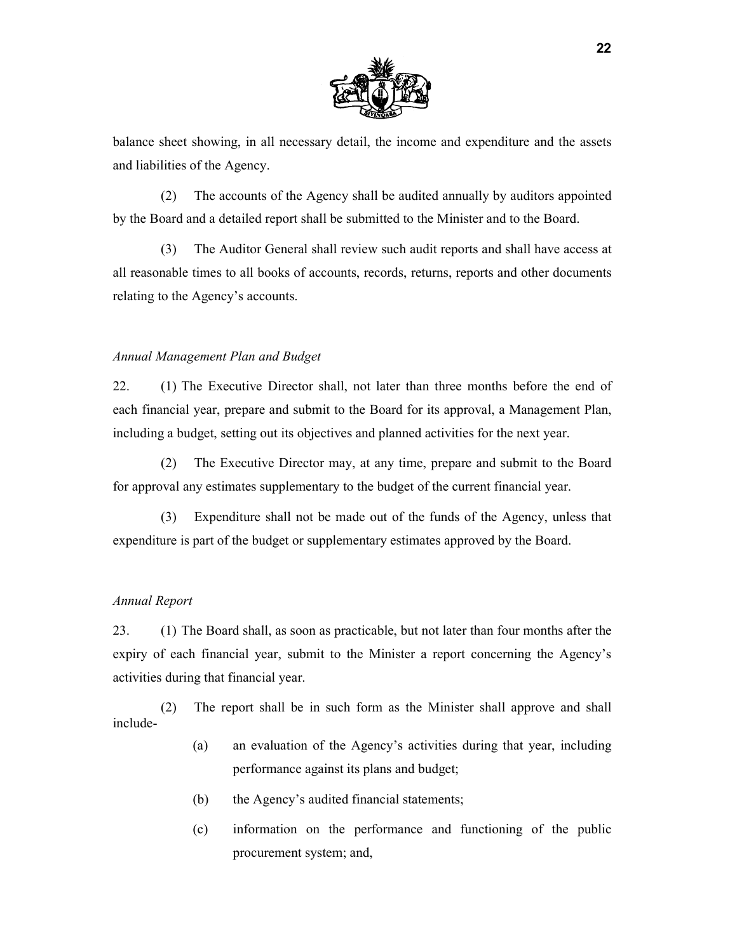

balance sheet showing, in all necessary detail, the income and expenditure and the assets and liabilities of the Agency.

(2) The accounts of the Agency shall be audited annually by auditors appointed by the Board and a detailed report shall be submitted to the Minister and to the Board.

(3) The Auditor General shall review such audit reports and shall have access at all reasonable times to all books of accounts, records, returns, reports and other documents relating to the Agency's accounts.

#### *Annual Management Plan and Budget*

22. (1) The Executive Director shall, not later than three months before the end of each financial year, prepare and submit to the Board for its approval, a Management Plan, including a budget, setting out its objectives and planned activities for the next year.

(2) The Executive Director may, at any time, prepare and submit to the Board for approval any estimates supplementary to the budget of the current financial year.

(3) Expenditure shall not be made out of the funds of the Agency, unless that expenditure is part of the budget or supplementary estimates approved by the Board.

#### *Annual Report*

23. (1) The Board shall, as soon as practicable, but not later than four months after the expiry of each financial year, submit to the Minister a report concerning the Agency's activities during that financial year.

(2) The report shall be in such form as the Minister shall approve and shall include-

- (a) an evaluation of the Agency's activities during that year, including performance against its plans and budget;
- (b) the Agency's audited financial statements;
- (c) information on the performance and functioning of the public procurement system; and,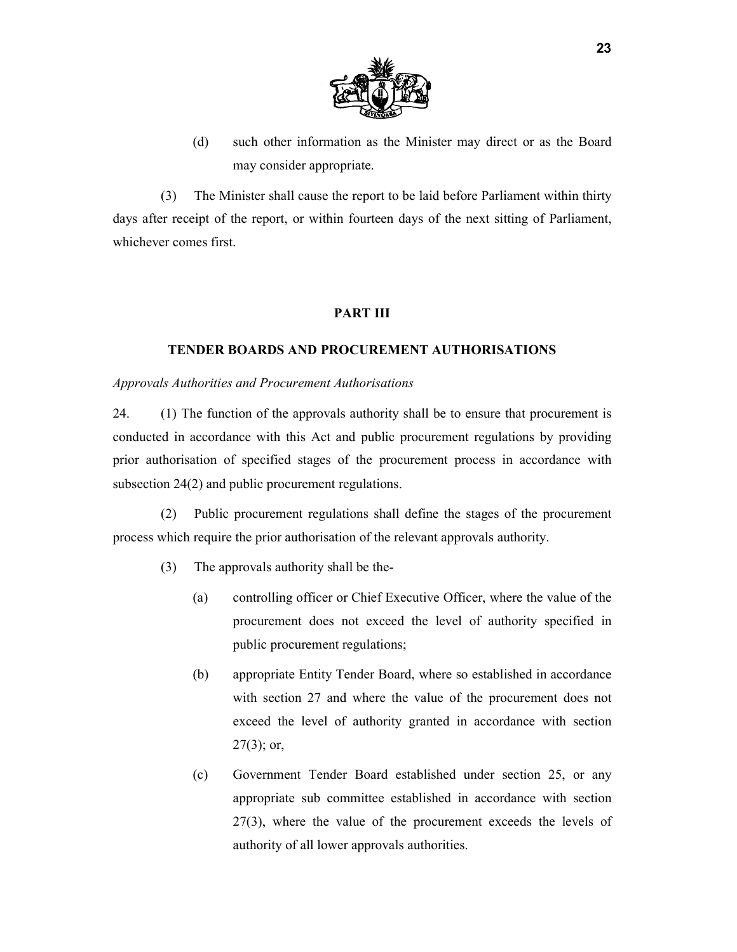

(d) such other information as the Minister may direct or as the Board may consider appropriate.

(3) The Minister shall cause the report to be laid before Parliament within thirty days after receipt of the report, or within fourteen days of the next sitting of Parliament, whichever comes first.

## **PART III**

## **TENDER BOARDS AND PROCUREMENT AUTHORISATIONS**

#### *Approvals Authorities and Procurement Authorisations*

24. (1) The function of the approvals authority shall be to ensure that procurement is conducted in accordance with this Act and public procurement regulations by providing prior authorisation of specified stages of the procurement process in accordance with subsection 24(2) and public procurement regulations.

(2) Public procurement regulations shall define the stages of the procurement process which require the prior authorisation of the relevant approvals authority.

- (3) The approvals authority shall be the-
	- (a) controlling officer or Chief Executive Officer, where the value of the procurement does not exceed the level of authority specified in public procurement regulations;
	- (b) appropriate Entity Tender Board, where so established in accordance with section 27 and where the value of the procurement does not exceed the level of authority granted in accordance with section  $27(3)$ ; or,
	- (c) Government Tender Board established under section 25, or any appropriate sub committee established in accordance with section 27(3), where the value of the procurement exceeds the levels of authority of all lower approvals authorities.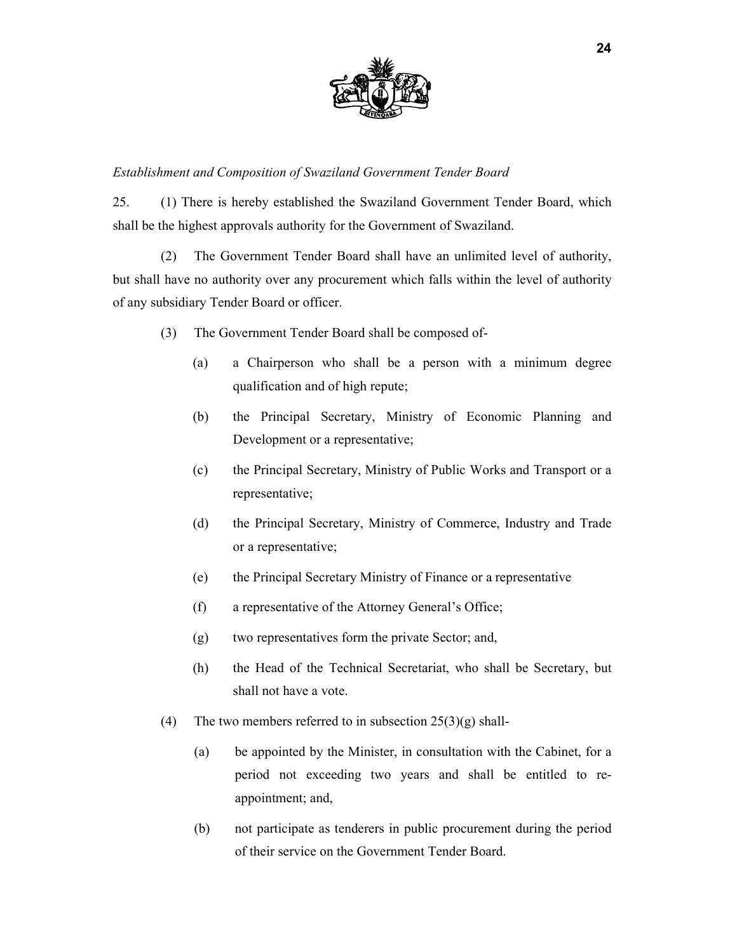

## *Establishment and Composition of Swaziland Government Tender Board*

25. (1) There is hereby established the Swaziland Government Tender Board, which shall be the highest approvals authority for the Government of Swaziland.

(2) The Government Tender Board shall have an unlimited level of authority, but shall have no authority over any procurement which falls within the level of authority of any subsidiary Tender Board or officer.

- (3) The Government Tender Board shall be composed of-
	- (a) a Chairperson who shall be a person with a minimum degree qualification and of high repute;
	- (b) the Principal Secretary, Ministry of Economic Planning and Development or a representative;
	- (c) the Principal Secretary, Ministry of Public Works and Transport or a representative;
	- (d) the Principal Secretary, Ministry of Commerce, Industry and Trade or a representative;
	- (e) the Principal Secretary Ministry of Finance or a representative
	- (f) a representative of the Attorney General's Office;
	- (g) two representatives form the private Sector; and,
	- (h) the Head of the Technical Secretariat, who shall be Secretary, but shall not have a vote.
- (4) The two members referred to in subsection  $25(3)(g)$  shall-
	- (a) be appointed by the Minister, in consultation with the Cabinet, for a period not exceeding two years and shall be entitled to reappointment; and,
	- (b) not participate as tenderers in public procurement during the period of their service on the Government Tender Board.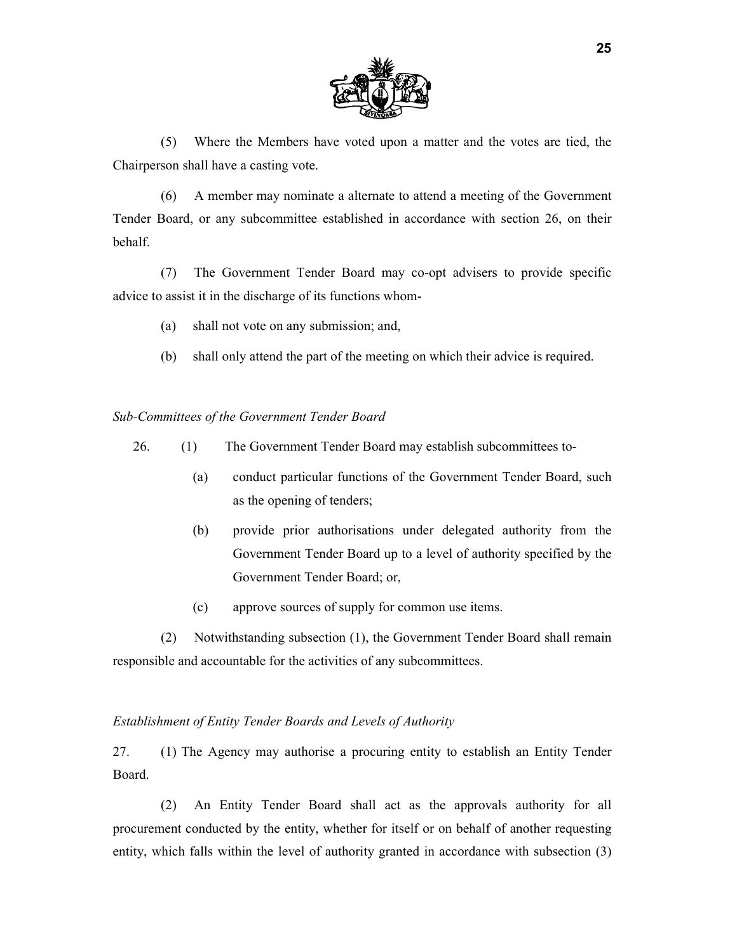

(5) Where the Members have voted upon a matter and the votes are tied, the Chairperson shall have a casting vote.

(6) A member may nominate a alternate to attend a meeting of the Government Tender Board, or any subcommittee established in accordance with section 26, on their behalf.

(7) The Government Tender Board may co-opt advisers to provide specific advice to assist it in the discharge of its functions whom-

- (a) shall not vote on any submission; and,
- (b) shall only attend the part of the meeting on which their advice is required.

*Sub-Committees of the Government Tender Board* 

- 26. (1) The Government Tender Board may establish subcommittees to-
	- (a) conduct particular functions of the Government Tender Board, such as the opening of tenders;
	- (b) provide prior authorisations under delegated authority from the Government Tender Board up to a level of authority specified by the Government Tender Board; or,
	- (c) approve sources of supply for common use items.

(2) Notwithstanding subsection (1), the Government Tender Board shall remain responsible and accountable for the activities of any subcommittees.

#### *Establishment of Entity Tender Boards and Levels of Authority*

27. (1) The Agency may authorise a procuring entity to establish an Entity Tender Board.

(2) An Entity Tender Board shall act as the approvals authority for all procurement conducted by the entity, whether for itself or on behalf of another requesting entity, which falls within the level of authority granted in accordance with subsection (3)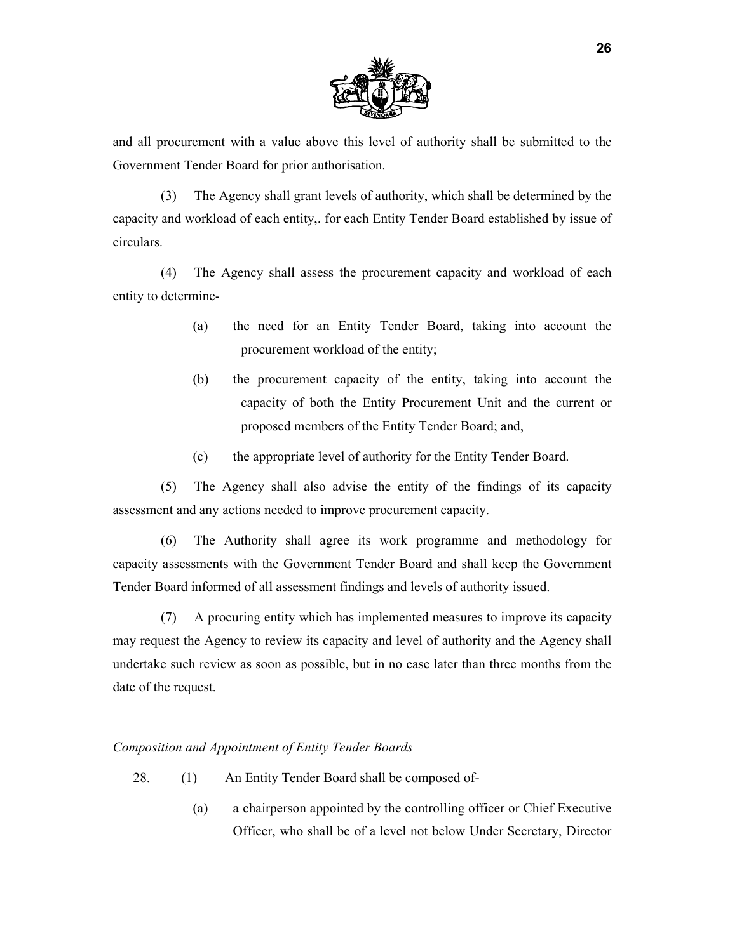

and all procurement with a value above this level of authority shall be submitted to the Government Tender Board for prior authorisation.

(3) The Agency shall grant levels of authority, which shall be determined by the capacity and workload of each entity,. for each Entity Tender Board established by issue of circulars.

(4) The Agency shall assess the procurement capacity and workload of each entity to determine-

- (a) the need for an Entity Tender Board, taking into account the procurement workload of the entity;
- (b) the procurement capacity of the entity, taking into account the capacity of both the Entity Procurement Unit and the current or proposed members of the Entity Tender Board; and,
- (c) the appropriate level of authority for the Entity Tender Board.

(5) The Agency shall also advise the entity of the findings of its capacity assessment and any actions needed to improve procurement capacity.

(6) The Authority shall agree its work programme and methodology for capacity assessments with the Government Tender Board and shall keep the Government Tender Board informed of all assessment findings and levels of authority issued.

(7) A procuring entity which has implemented measures to improve its capacity may request the Agency to review its capacity and level of authority and the Agency shall undertake such review as soon as possible, but in no case later than three months from the date of the request.

#### *Composition and Appointment of Entity Tender Boards*

- 28. (1) An Entity Tender Board shall be composed of-
	- (a) a chairperson appointed by the controlling officer or Chief Executive Officer, who shall be of a level not below Under Secretary, Director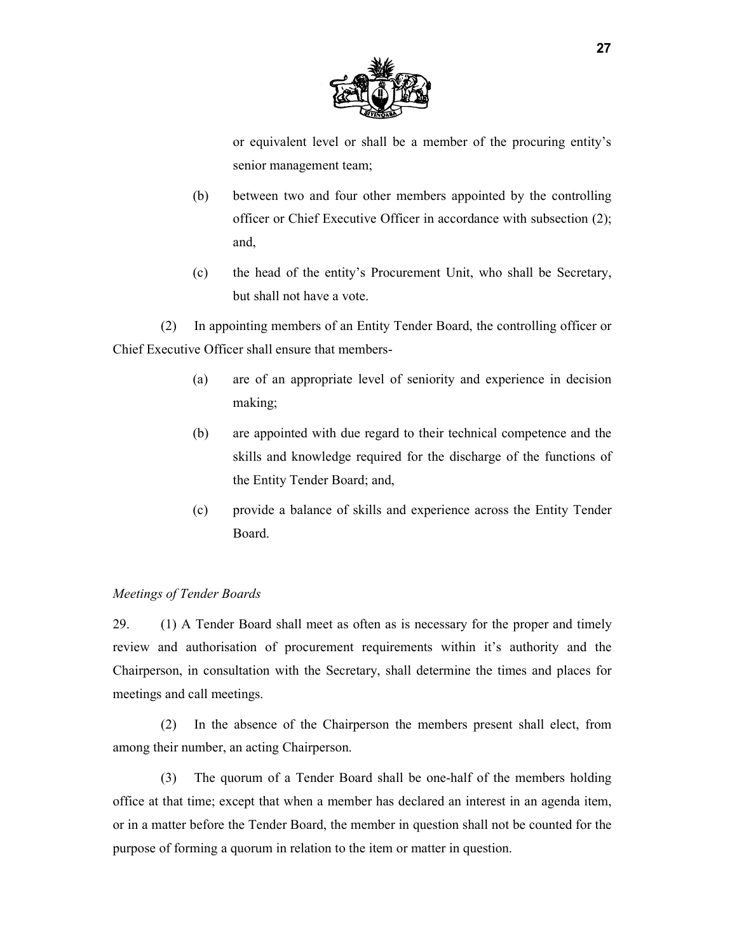

or equivalent level or shall be a member of the procuring entity's senior management team;

- (b) between two and four other members appointed by the controlling officer or Chief Executive Officer in accordance with subsection (2); and,
- (c) the head of the entity's Procurement Unit, who shall be Secretary, but shall not have a vote.

(2) In appointing members of an Entity Tender Board, the controlling officer or Chief Executive Officer shall ensure that members-

- (a) are of an appropriate level of seniority and experience in decision making;
- (b) are appointed with due regard to their technical competence and the skills and knowledge required for the discharge of the functions of the Entity Tender Board; and,
- (c) provide a balance of skills and experience across the Entity Tender Board.

#### *Meetings of Tender Boards*

29. (1) A Tender Board shall meet as often as is necessary for the proper and timely review and authorisation of procurement requirements within it's authority and the Chairperson, in consultation with the Secretary, shall determine the times and places for meetings and call meetings.

(2) In the absence of the Chairperson the members present shall elect, from among their number, an acting Chairperson.

(3) The quorum of a Tender Board shall be one-half of the members holding office at that time; except that when a member has declared an interest in an agenda item, or in a matter before the Tender Board, the member in question shall not be counted for the purpose of forming a quorum in relation to the item or matter in question.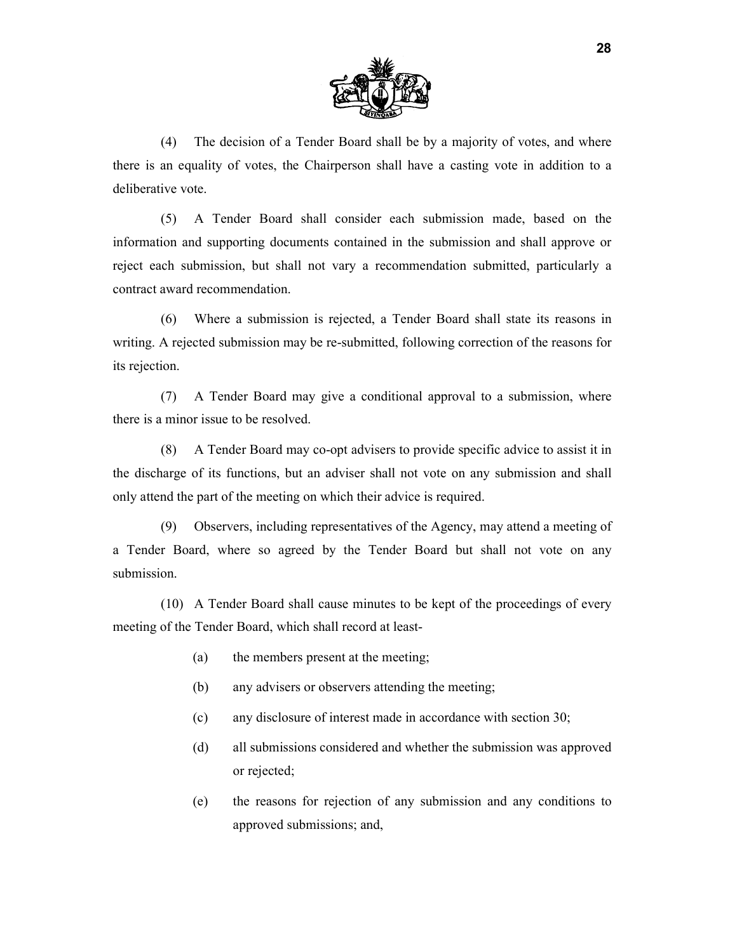

(4) The decision of a Tender Board shall be by a majority of votes, and where there is an equality of votes, the Chairperson shall have a casting vote in addition to a deliberative vote.

(5) A Tender Board shall consider each submission made, based on the information and supporting documents contained in the submission and shall approve or reject each submission, but shall not vary a recommendation submitted, particularly a contract award recommendation.

(6) Where a submission is rejected, a Tender Board shall state its reasons in writing. A rejected submission may be re-submitted, following correction of the reasons for its rejection.

(7) A Tender Board may give a conditional approval to a submission, where there is a minor issue to be resolved.

(8) A Tender Board may co-opt advisers to provide specific advice to assist it in the discharge of its functions, but an adviser shall not vote on any submission and shall only attend the part of the meeting on which their advice is required.

(9) Observers, including representatives of the Agency, may attend a meeting of a Tender Board, where so agreed by the Tender Board but shall not vote on any submission.

(10) A Tender Board shall cause minutes to be kept of the proceedings of every meeting of the Tender Board, which shall record at least-

- (a) the members present at the meeting;
- (b) any advisers or observers attending the meeting;
- (c) any disclosure of interest made in accordance with section 30;
- (d) all submissions considered and whether the submission was approved or rejected;
- (e) the reasons for rejection of any submission and any conditions to approved submissions; and,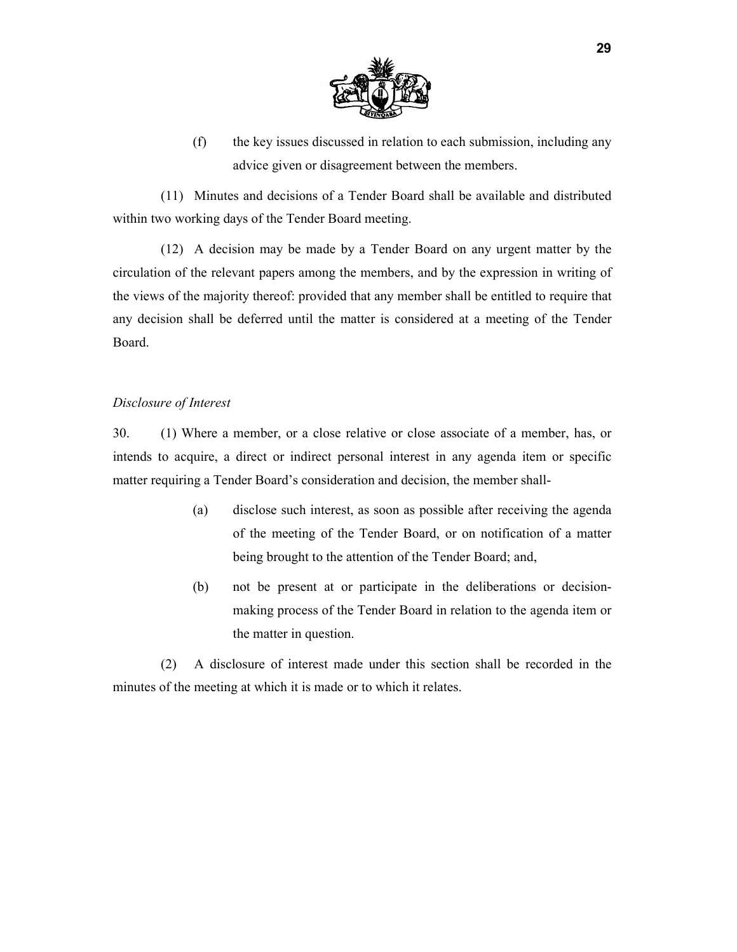

(f) the key issues discussed in relation to each submission, including any advice given or disagreement between the members.

(11) Minutes and decisions of a Tender Board shall be available and distributed within two working days of the Tender Board meeting.

(12) A decision may be made by a Tender Board on any urgent matter by the circulation of the relevant papers among the members, and by the expression in writing of the views of the majority thereof: provided that any member shall be entitled to require that any decision shall be deferred until the matter is considered at a meeting of the Tender Board.

#### *Disclosure of Interest*

30. (1) Where a member, or a close relative or close associate of a member, has, or intends to acquire, a direct or indirect personal interest in any agenda item or specific matter requiring a Tender Board's consideration and decision, the member shall-

- (a) disclose such interest, as soon as possible after receiving the agenda of the meeting of the Tender Board, or on notification of a matter being brought to the attention of the Tender Board; and,
- (b) not be present at or participate in the deliberations or decisionmaking process of the Tender Board in relation to the agenda item or the matter in question.

(2) A disclosure of interest made under this section shall be recorded in the minutes of the meeting at which it is made or to which it relates.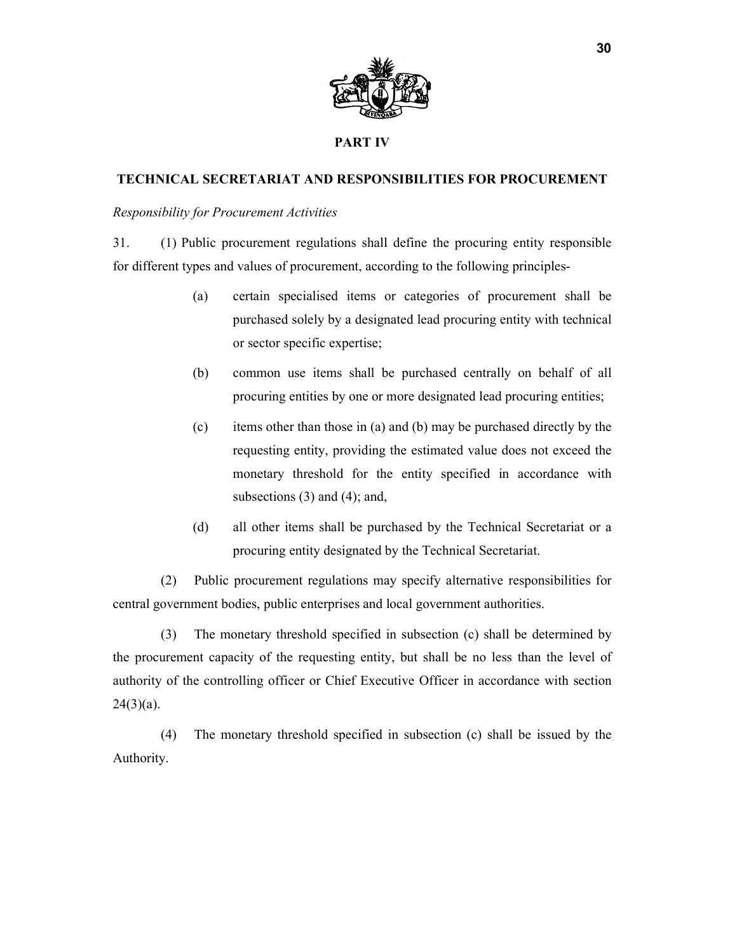

## **PART IV**

## **TECHNICAL SECRETARIAT AND RESPONSIBILITIES FOR PROCUREMENT**

### *Responsibility for Procurement Activities*

31. (1) Public procurement regulations shall define the procuring entity responsible for different types and values of procurement, according to the following principles-

- (a) certain specialised items or categories of procurement shall be purchased solely by a designated lead procuring entity with technical or sector specific expertise;
- (b) common use items shall be purchased centrally on behalf of all procuring entities by one or more designated lead procuring entities;
- (c) items other than those in (a) and (b) may be purchased directly by the requesting entity, providing the estimated value does not exceed the monetary threshold for the entity specified in accordance with subsections  $(3)$  and  $(4)$ ; and,
- (d) all other items shall be purchased by the Technical Secretariat or a procuring entity designated by the Technical Secretariat.

(2) Public procurement regulations may specify alternative responsibilities for central government bodies, public enterprises and local government authorities.

(3) The monetary threshold specified in subsection (c) shall be determined by the procurement capacity of the requesting entity, but shall be no less than the level of authority of the controlling officer or Chief Executive Officer in accordance with section  $24(3)(a)$ .

(4) The monetary threshold specified in subsection (c) shall be issued by the Authority.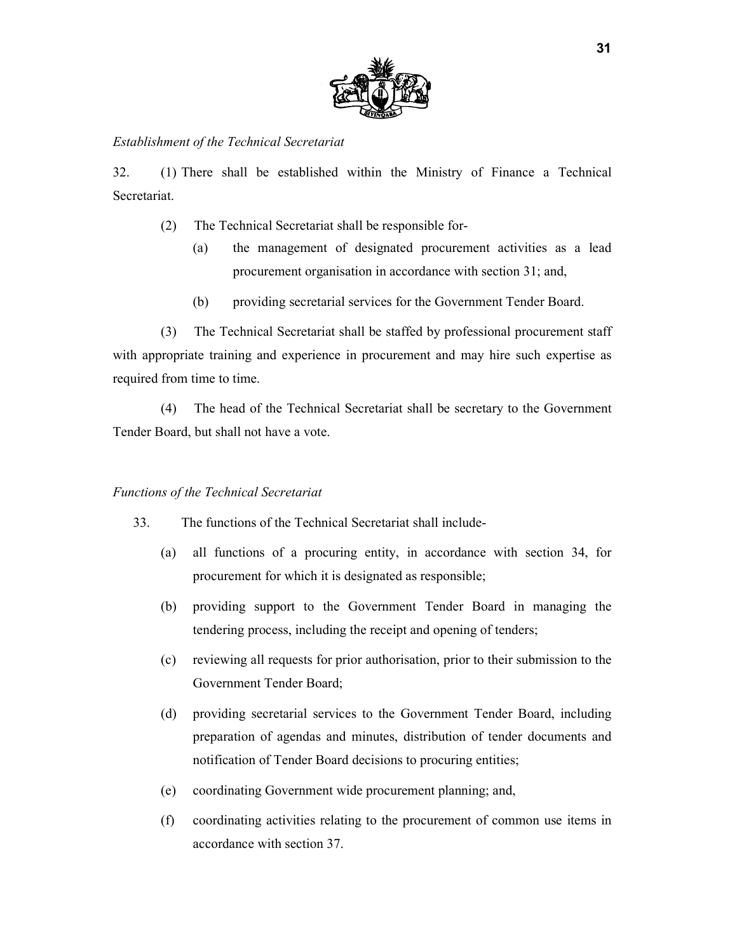

### *Establishment of the Technical Secretariat*

32. (1) There shall be established within the Ministry of Finance a Technical **Secretariat** 

- (2) The Technical Secretariat shall be responsible for-
	- (a) the management of designated procurement activities as a lead procurement organisation in accordance with section 31; and,
	- (b) providing secretarial services for the Government Tender Board.

(3) The Technical Secretariat shall be staffed by professional procurement staff with appropriate training and experience in procurement and may hire such expertise as required from time to time.

(4) The head of the Technical Secretariat shall be secretary to the Government Tender Board, but shall not have a vote.

#### *Functions of the Technical Secretariat*

- 33. The functions of the Technical Secretariat shall include-
	- (a) all functions of a procuring entity, in accordance with section 34, for procurement for which it is designated as responsible;
	- (b) providing support to the Government Tender Board in managing the tendering process, including the receipt and opening of tenders;
	- (c) reviewing all requests for prior authorisation, prior to their submission to the Government Tender Board;
	- (d) providing secretarial services to the Government Tender Board, including preparation of agendas and minutes, distribution of tender documents and notification of Tender Board decisions to procuring entities;
	- (e) coordinating Government wide procurement planning; and,
	- (f) coordinating activities relating to the procurement of common use items in accordance with section 37.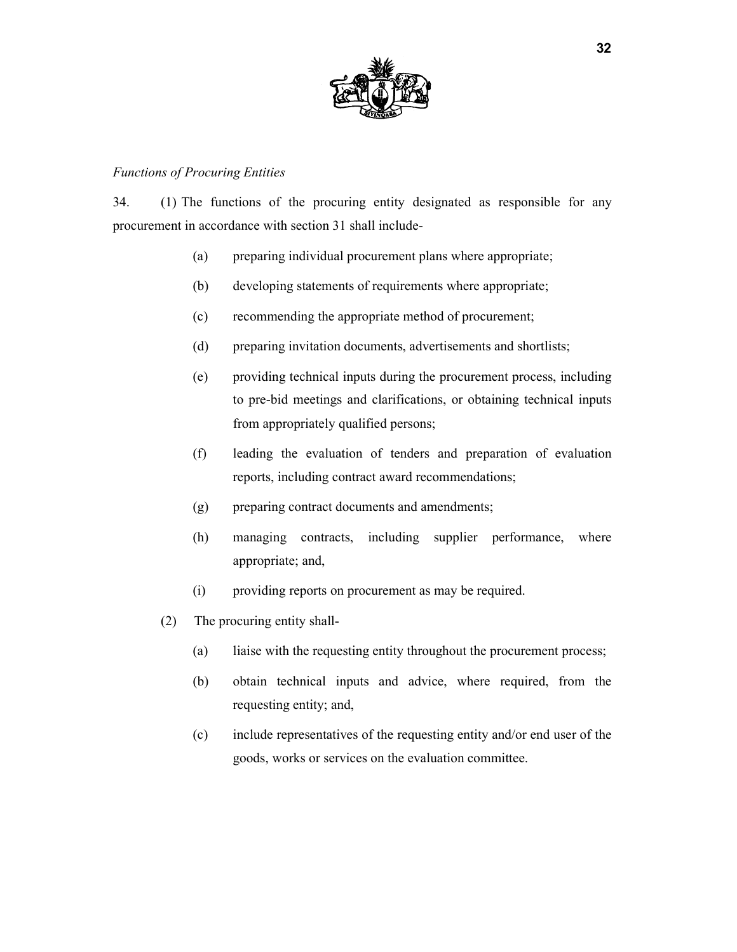

## *Functions of Procuring Entities*

34. (1) The functions of the procuring entity designated as responsible for any procurement in accordance with section 31 shall include-

- (a) preparing individual procurement plans where appropriate;
- (b) developing statements of requirements where appropriate;
- (c) recommending the appropriate method of procurement;
- (d) preparing invitation documents, advertisements and shortlists;
- (e) providing technical inputs during the procurement process, including to pre-bid meetings and clarifications, or obtaining technical inputs from appropriately qualified persons;
- (f) leading the evaluation of tenders and preparation of evaluation reports, including contract award recommendations;
- (g) preparing contract documents and amendments;
- (h) managing contracts, including supplier performance, where appropriate; and,
- (i) providing reports on procurement as may be required.
- (2) The procuring entity shall-
	- (a) liaise with the requesting entity throughout the procurement process;
	- (b) obtain technical inputs and advice, where required, from the requesting entity; and,
	- (c) include representatives of the requesting entity and/or end user of the goods, works or services on the evaluation committee.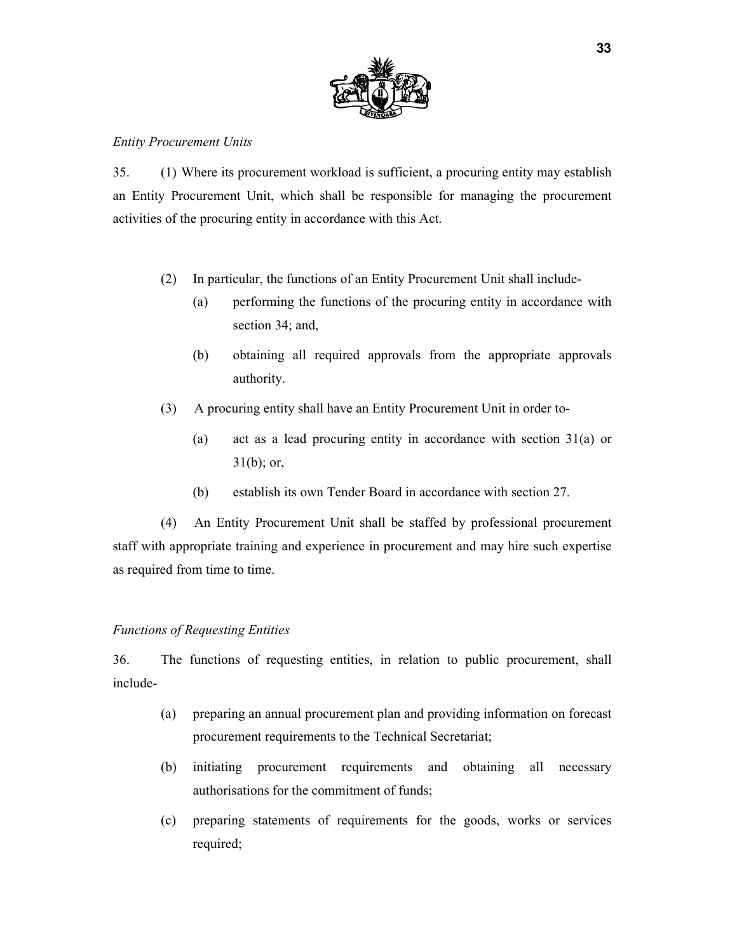

#### *Entity Procurement Units*

35. (1) Where its procurement workload is sufficient, a procuring entity may establish an Entity Procurement Unit, which shall be responsible for managing the procurement activities of the procuring entity in accordance with this Act.

- (2) In particular, the functions of an Entity Procurement Unit shall include-
	- (a) performing the functions of the procuring entity in accordance with section 34; and,
	- (b) obtaining all required approvals from the appropriate approvals authority.
- (3) A procuring entity shall have an Entity Procurement Unit in order to-
	- (a) act as a lead procuring entity in accordance with section 31(a) or  $31(b)$ ; or,
	- (b) establish its own Tender Board in accordance with section 27.

(4) An Entity Procurement Unit shall be staffed by professional procurement staff with appropriate training and experience in procurement and may hire such expertise as required from time to time.

## *Functions of Requesting Entities*

36. The functions of requesting entities, in relation to public procurement, shall include-

- (a) preparing an annual procurement plan and providing information on forecast procurement requirements to the Technical Secretariat;
- (b) initiating procurement requirements and obtaining all necessary authorisations for the commitment of funds;
- (c) preparing statements of requirements for the goods, works or services required;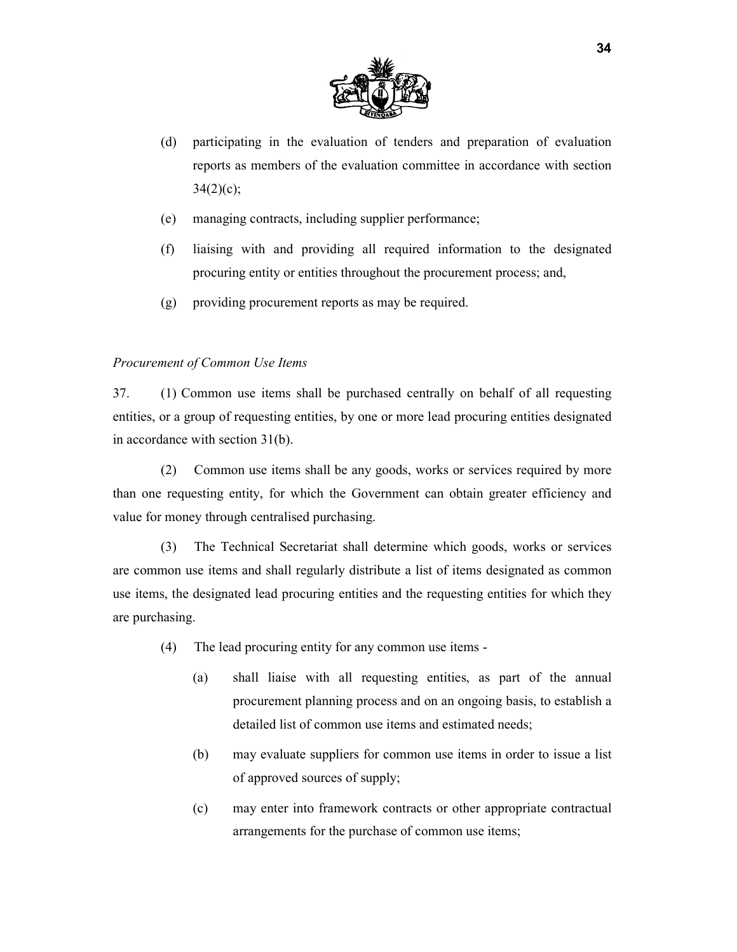

- (d) participating in the evaluation of tenders and preparation of evaluation reports as members of the evaluation committee in accordance with section  $34(2)(c)$ ;
- (e) managing contracts, including supplier performance;
- (f) liaising with and providing all required information to the designated procuring entity or entities throughout the procurement process; and,
- (g) providing procurement reports as may be required.

## *Procurement of Common Use Items*

37. (1) Common use items shall be purchased centrally on behalf of all requesting entities, or a group of requesting entities, by one or more lead procuring entities designated in accordance with section 31(b).

(2) Common use items shall be any goods, works or services required by more than one requesting entity, for which the Government can obtain greater efficiency and value for money through centralised purchasing.

(3) The Technical Secretariat shall determine which goods, works or services are common use items and shall regularly distribute a list of items designated as common use items, the designated lead procuring entities and the requesting entities for which they are purchasing.

- (4) The lead procuring entity for any common use items
	- (a) shall liaise with all requesting entities, as part of the annual procurement planning process and on an ongoing basis, to establish a detailed list of common use items and estimated needs;
	- (b) may evaluate suppliers for common use items in order to issue a list of approved sources of supply;
	- (c) may enter into framework contracts or other appropriate contractual arrangements for the purchase of common use items;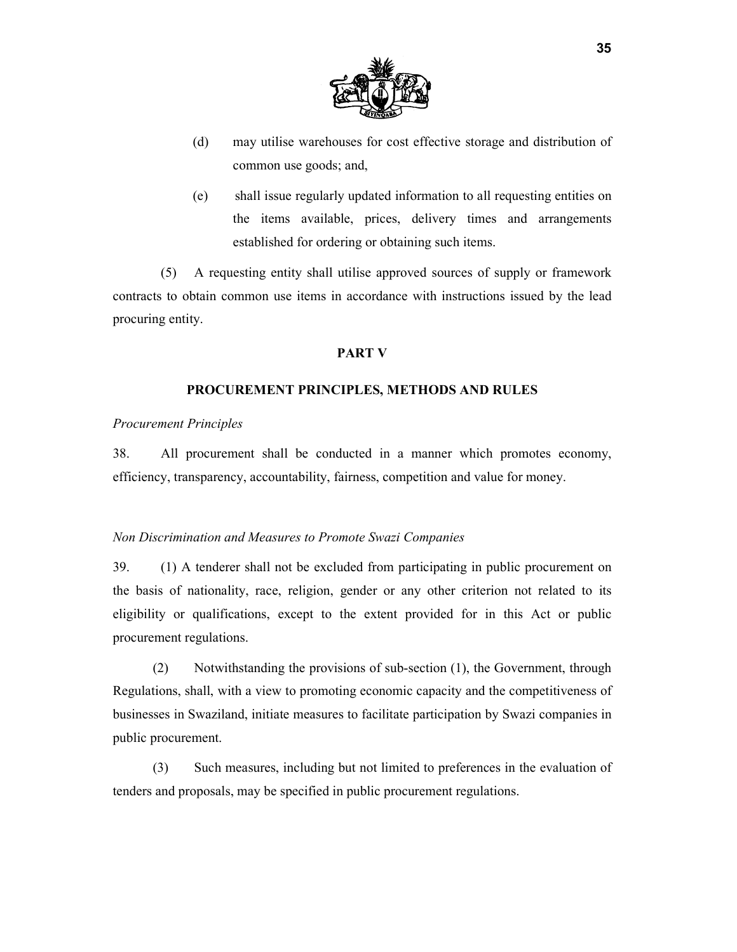

- (d) may utilise warehouses for cost effective storage and distribution of common use goods; and,
- (e) shall issue regularly updated information to all requesting entities on the items available, prices, delivery times and arrangements established for ordering or obtaining such items.

(5) A requesting entity shall utilise approved sources of supply or framework contracts to obtain common use items in accordance with instructions issued by the lead procuring entity.

#### **PART V**

#### **PROCUREMENT PRINCIPLES, METHODS AND RULES**

#### *Procurement Principles*

38. All procurement shall be conducted in a manner which promotes economy, efficiency, transparency, accountability, fairness, competition and value for money.

#### *Non Discrimination and Measures to Promote Swazi Companies*

39. (1) A tenderer shall not be excluded from participating in public procurement on the basis of nationality, race, religion, gender or any other criterion not related to its eligibility or qualifications, except to the extent provided for in this Act or public procurement regulations.

(2) Notwithstanding the provisions of sub-section (1), the Government, through Regulations, shall, with a view to promoting economic capacity and the competitiveness of businesses in Swaziland, initiate measures to facilitate participation by Swazi companies in public procurement.

(3) Such measures, including but not limited to preferences in the evaluation of tenders and proposals, may be specified in public procurement regulations.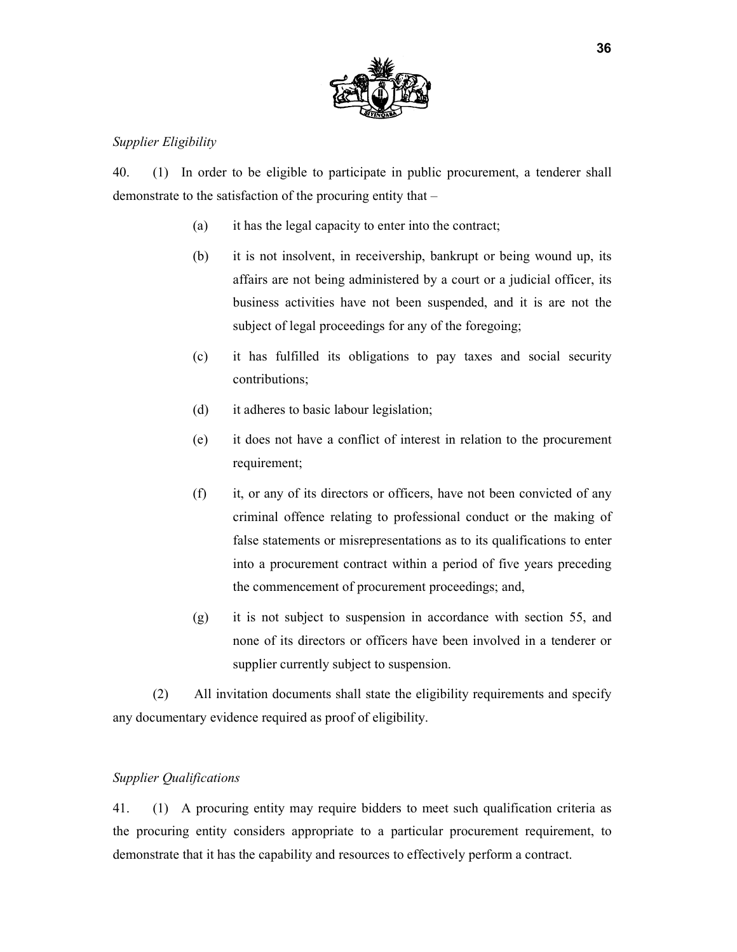

## *Supplier Eligibility*

40. (1) In order to be eligible to participate in public procurement, a tenderer shall demonstrate to the satisfaction of the procuring entity that –

- (a) it has the legal capacity to enter into the contract;
- (b) it is not insolvent, in receivership, bankrupt or being wound up, its affairs are not being administered by a court or a judicial officer, its business activities have not been suspended, and it is are not the subject of legal proceedings for any of the foregoing;
- (c) it has fulfilled its obligations to pay taxes and social security contributions;
- (d) it adheres to basic labour legislation;
- (e) it does not have a conflict of interest in relation to the procurement requirement;
- (f) it, or any of its directors or officers, have not been convicted of any criminal offence relating to professional conduct or the making of false statements or misrepresentations as to its qualifications to enter into a procurement contract within a period of five years preceding the commencement of procurement proceedings; and,
- (g) it is not subject to suspension in accordance with section 55, and none of its directors or officers have been involved in a tenderer or supplier currently subject to suspension.

(2) All invitation documents shall state the eligibility requirements and specify any documentary evidence required as proof of eligibility.

#### *Supplier Qualifications*

41. (1) A procuring entity may require bidders to meet such qualification criteria as the procuring entity considers appropriate to a particular procurement requirement, to demonstrate that it has the capability and resources to effectively perform a contract.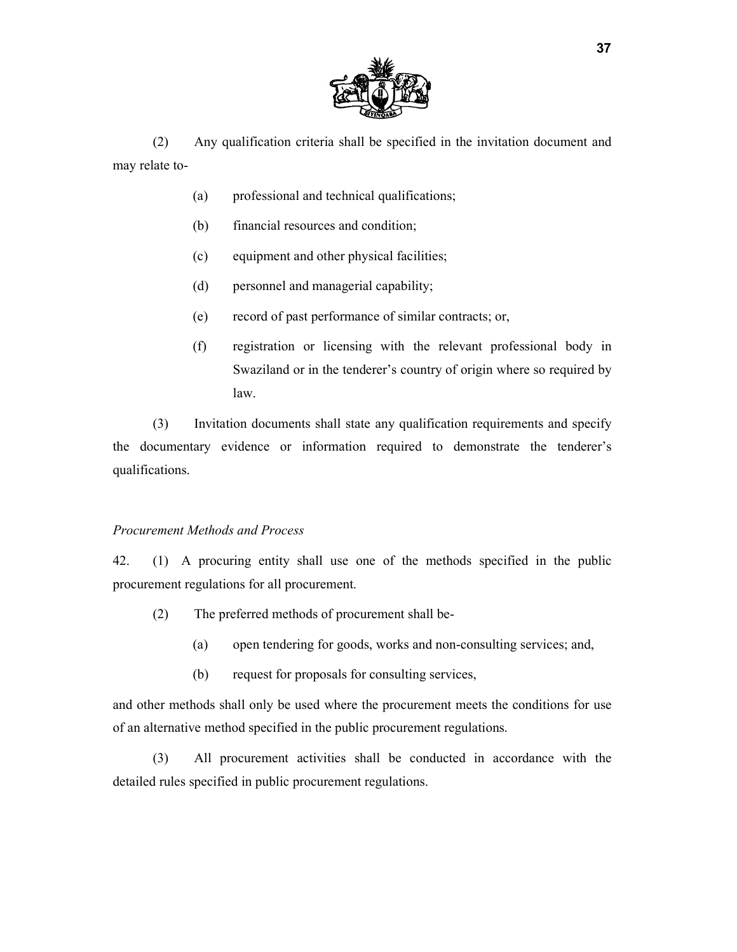

(2) Any qualification criteria shall be specified in the invitation document and may relate to-

- (a) professional and technical qualifications;
- (b) financial resources and condition;
- (c) equipment and other physical facilities;
- (d) personnel and managerial capability;
- (e) record of past performance of similar contracts; or,
- (f) registration or licensing with the relevant professional body in Swaziland or in the tenderer's country of origin where so required by law.

(3) Invitation documents shall state any qualification requirements and specify the documentary evidence or information required to demonstrate the tenderer's qualifications.

#### *Procurement Methods and Process*

42. (1) A procuring entity shall use one of the methods specified in the public procurement regulations for all procurement.

- (2) The preferred methods of procurement shall be-
	- (a) open tendering for goods, works and non-consulting services; and,
	- (b) request for proposals for consulting services,

and other methods shall only be used where the procurement meets the conditions for use of an alternative method specified in the public procurement regulations.

(3) All procurement activities shall be conducted in accordance with the detailed rules specified in public procurement regulations.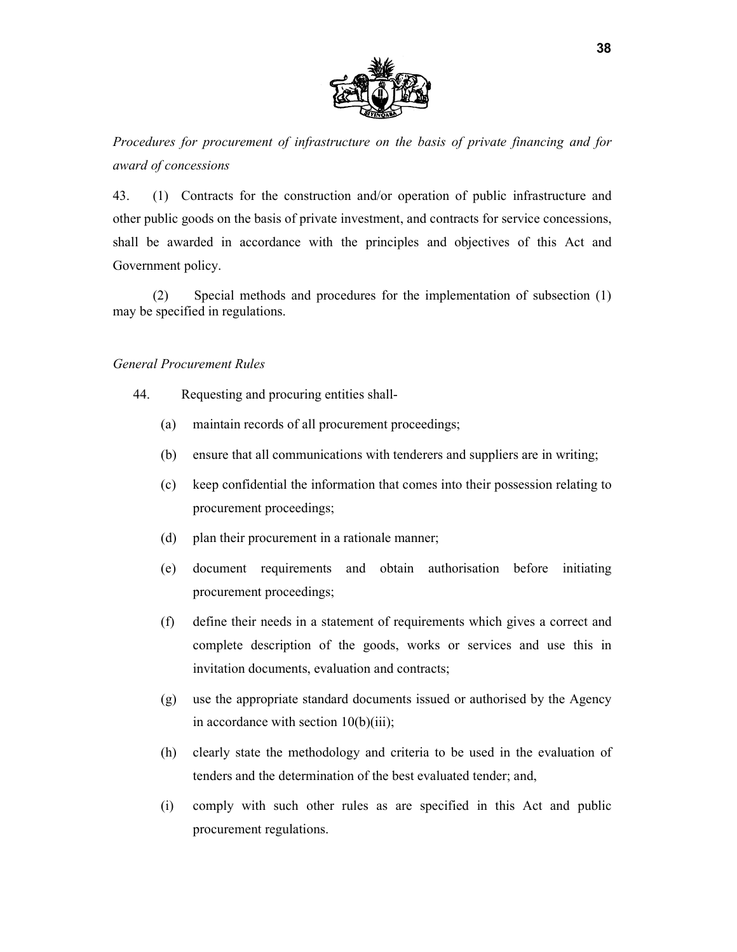

*Procedures for procurement of infrastructure on the basis of private financing and for award of concessions* 

43. (1) Contracts for the construction and/or operation of public infrastructure and other public goods on the basis of private investment, and contracts for service concessions, shall be awarded in accordance with the principles and objectives of this Act and Government policy.

(2) Special methods and procedures for the implementation of subsection (1) may be specified in regulations.

## *General Procurement Rules*

- 44. Requesting and procuring entities shall-
	- (a) maintain records of all procurement proceedings;
	- (b) ensure that all communications with tenderers and suppliers are in writing;
	- (c) keep confidential the information that comes into their possession relating to procurement proceedings;
	- (d) plan their procurement in a rationale manner;
	- (e) document requirements and obtain authorisation before initiating procurement proceedings;
	- (f) define their needs in a statement of requirements which gives a correct and complete description of the goods, works or services and use this in invitation documents, evaluation and contracts;
	- (g) use the appropriate standard documents issued or authorised by the Agency in accordance with section 10(b)(iii);
	- (h) clearly state the methodology and criteria to be used in the evaluation of tenders and the determination of the best evaluated tender; and,
	- (i) comply with such other rules as are specified in this Act and public procurement regulations.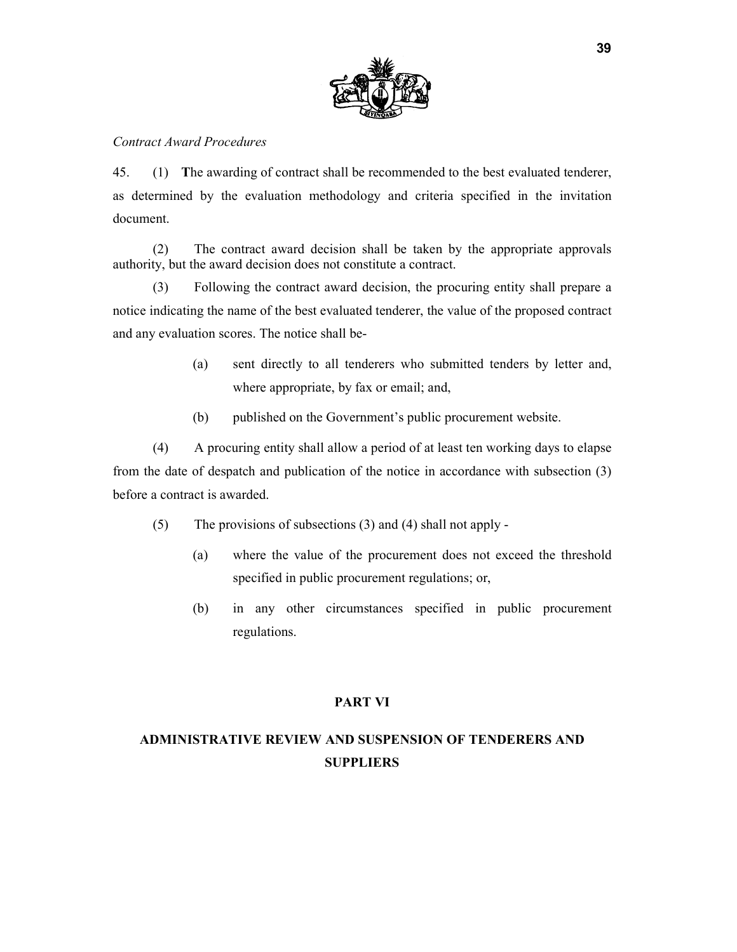

## *Contract Award Procedures*

45. (1) **T**he awarding of contract shall be recommended to the best evaluated tenderer, as determined by the evaluation methodology and criteria specified in the invitation document.

(2) The contract award decision shall be taken by the appropriate approvals authority, but the award decision does not constitute a contract.

(3) Following the contract award decision, the procuring entity shall prepare a notice indicating the name of the best evaluated tenderer, the value of the proposed contract and any evaluation scores. The notice shall be-

- (a) sent directly to all tenderers who submitted tenders by letter and, where appropriate, by fax or email; and,
- (b) published on the Government's public procurement website.

(4) A procuring entity shall allow a period of at least ten working days to elapse from the date of despatch and publication of the notice in accordance with subsection (3) before a contract is awarded.

- (5) The provisions of subsections (3) and (4) shall not apply
	- (a) where the value of the procurement does not exceed the threshold specified in public procurement regulations; or,
	- (b) in any other circumstances specified in public procurement regulations.

#### **PART VI**

# **ADMINISTRATIVE REVIEW AND SUSPENSION OF TENDERERS AND SUPPLIERS**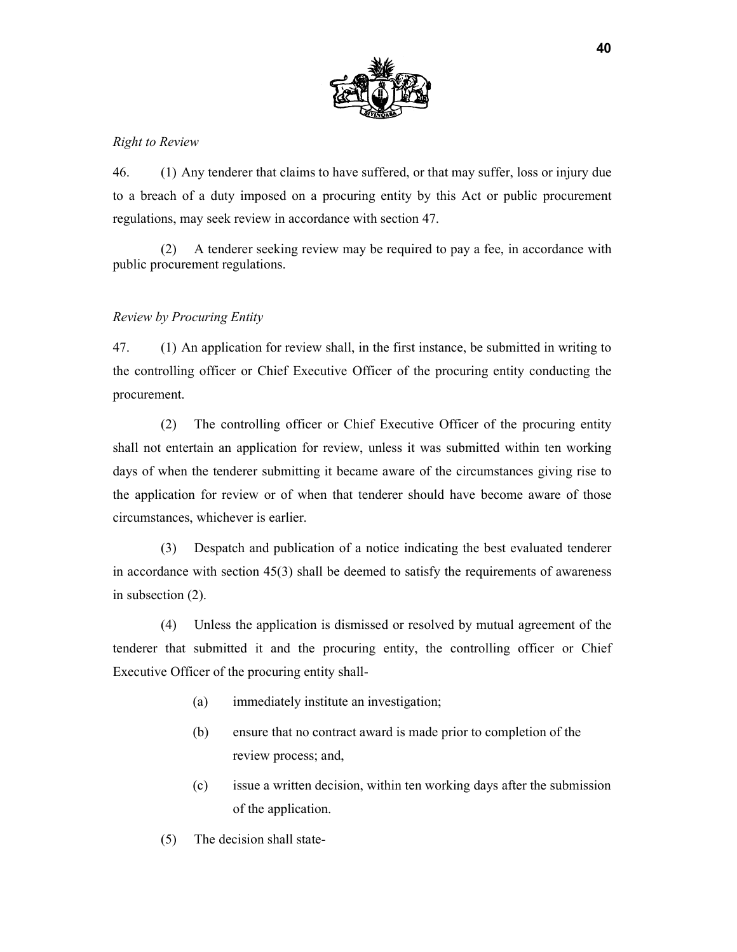

## *Right to Review*

46. (1) Any tenderer that claims to have suffered, or that may suffer, loss or injury due to a breach of a duty imposed on a procuring entity by this Act or public procurement regulations, may seek review in accordance with section 47.

(2) A tenderer seeking review may be required to pay a fee, in accordance with public procurement regulations.

## *Review by Procuring Entity*

47. (1) An application for review shall, in the first instance, be submitted in writing to the controlling officer or Chief Executive Officer of the procuring entity conducting the procurement.

(2) The controlling officer or Chief Executive Officer of the procuring entity shall not entertain an application for review, unless it was submitted within ten working days of when the tenderer submitting it became aware of the circumstances giving rise to the application for review or of when that tenderer should have become aware of those circumstances, whichever is earlier.

(3) Despatch and publication of a notice indicating the best evaluated tenderer in accordance with section 45(3) shall be deemed to satisfy the requirements of awareness in subsection (2).

(4) Unless the application is dismissed or resolved by mutual agreement of the tenderer that submitted it and the procuring entity, the controlling officer or Chief Executive Officer of the procuring entity shall-

- (a) immediately institute an investigation;
- (b) ensure that no contract award is made prior to completion of the review process; and,
- (c) issue a written decision, within ten working days after the submission of the application.
- (5) The decision shall state-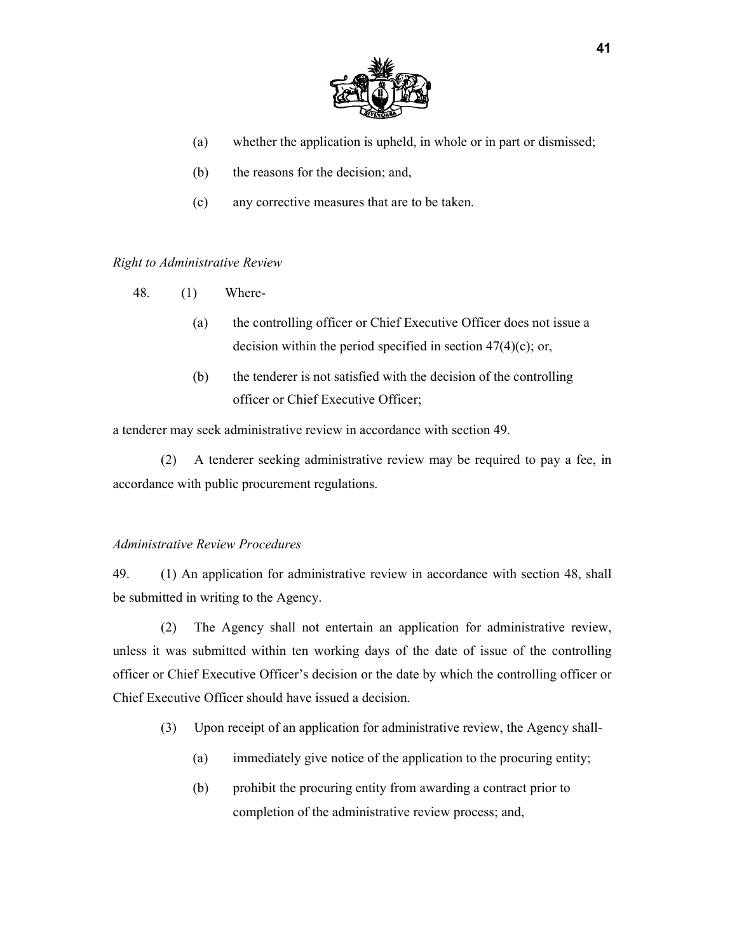

- (a) whether the application is upheld, in whole or in part or dismissed;
- (b) the reasons for the decision; and,
- (c) any corrective measures that are to be taken.

#### *Right to Administrative Review*

- 48. (1) Where-
	- (a) the controlling officer or Chief Executive Officer does not issue a decision within the period specified in section  $47(4)(c)$ ; or,
	- (b) the tenderer is not satisfied with the decision of the controlling officer or Chief Executive Officer;

a tenderer may seek administrative review in accordance with section 49.

(2) A tenderer seeking administrative review may be required to pay a fee, in accordance with public procurement regulations.

#### *Administrative Review Procedures*

49. (1) An application for administrative review in accordance with section 48, shall be submitted in writing to the Agency.

(2) The Agency shall not entertain an application for administrative review, unless it was submitted within ten working days of the date of issue of the controlling officer or Chief Executive Officer's decision or the date by which the controlling officer or Chief Executive Officer should have issued a decision.

- (3) Upon receipt of an application for administrative review, the Agency shall-
	- (a) immediately give notice of the application to the procuring entity;
	- (b) prohibit the procuring entity from awarding a contract prior to completion of the administrative review process; and,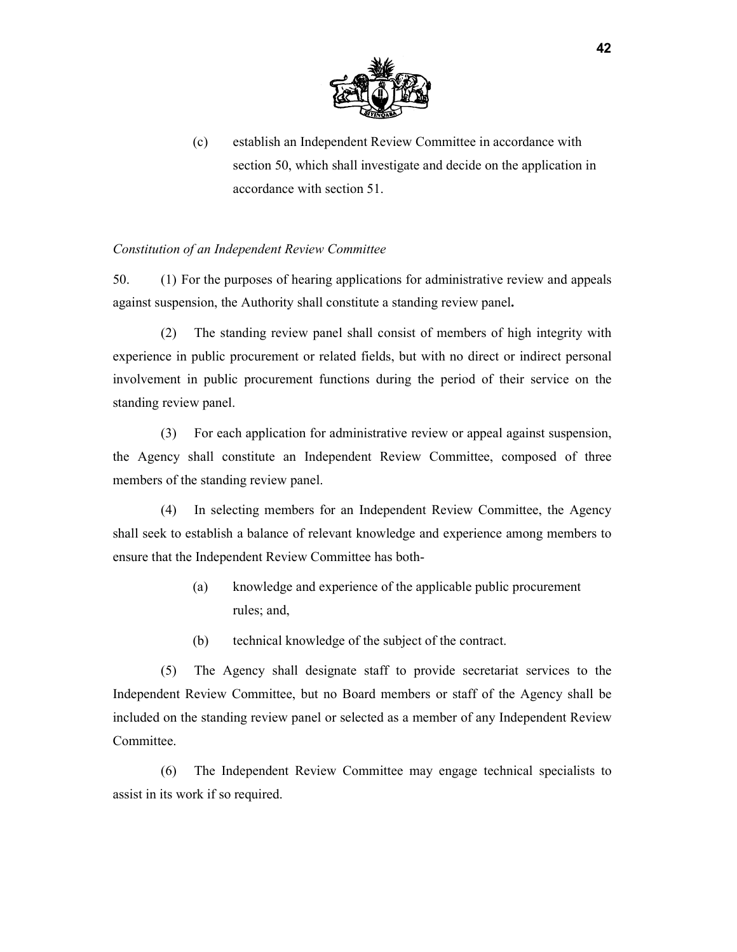

(c) establish an Independent Review Committee in accordance with section 50, which shall investigate and decide on the application in accordance with section 51.

## *Constitution of an Independent Review Committee*

50. (1) For the purposes of hearing applications for administrative review and appeals against suspension, the Authority shall constitute a standing review panel**.** 

(2) The standing review panel shall consist of members of high integrity with experience in public procurement or related fields, but with no direct or indirect personal involvement in public procurement functions during the period of their service on the standing review panel.

(3) For each application for administrative review or appeal against suspension, the Agency shall constitute an Independent Review Committee, composed of three members of the standing review panel.

(4) In selecting members for an Independent Review Committee, the Agency shall seek to establish a balance of relevant knowledge and experience among members to ensure that the Independent Review Committee has both-

- (a) knowledge and experience of the applicable public procurement rules; and,
- (b) technical knowledge of the subject of the contract.

(5) The Agency shall designate staff to provide secretariat services to the Independent Review Committee, but no Board members or staff of the Agency shall be included on the standing review panel or selected as a member of any Independent Review Committee.

(6) The Independent Review Committee may engage technical specialists to assist in its work if so required.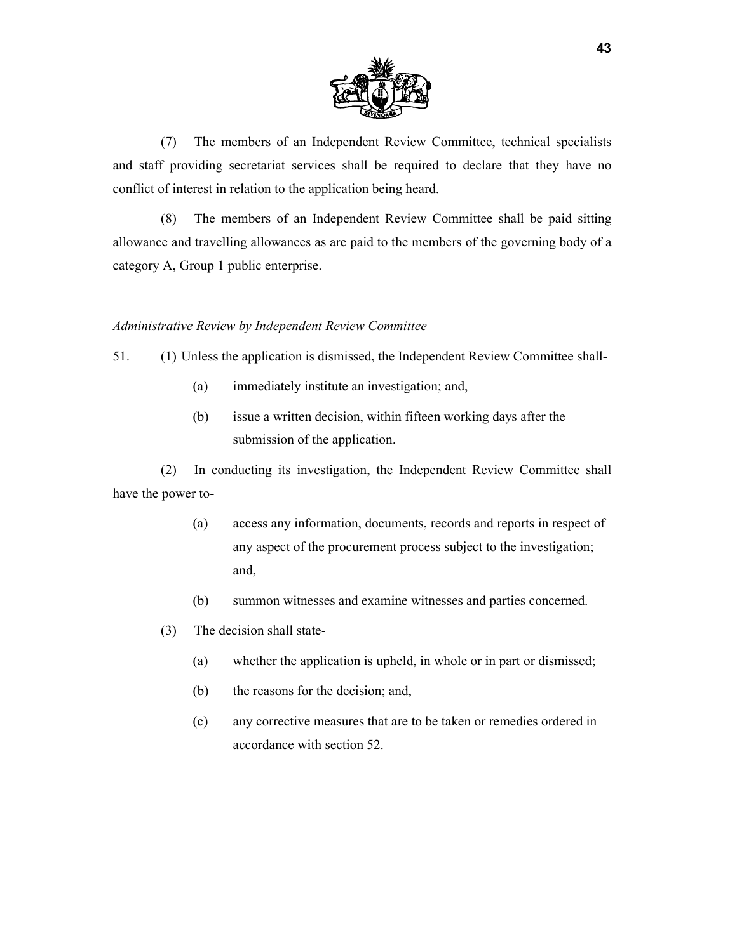

(7) The members of an Independent Review Committee, technical specialists and staff providing secretariat services shall be required to declare that they have no conflict of interest in relation to the application being heard.

(8) The members of an Independent Review Committee shall be paid sitting allowance and travelling allowances as are paid to the members of the governing body of a category A, Group 1 public enterprise.

#### *Administrative Review by Independent Review Committee*

- 51. (1) Unless the application is dismissed, the Independent Review Committee shall-
	- (a) immediately institute an investigation; and,
	- (b) issue a written decision, within fifteen working days after the submission of the application.

(2) In conducting its investigation, the Independent Review Committee shall have the power to-

- (a) access any information, documents, records and reports in respect of any aspect of the procurement process subject to the investigation; and,
- (b) summon witnesses and examine witnesses and parties concerned.
- (3) The decision shall state-
	- (a) whether the application is upheld, in whole or in part or dismissed;
	- (b) the reasons for the decision; and,
	- (c) any corrective measures that are to be taken or remedies ordered in accordance with section 52.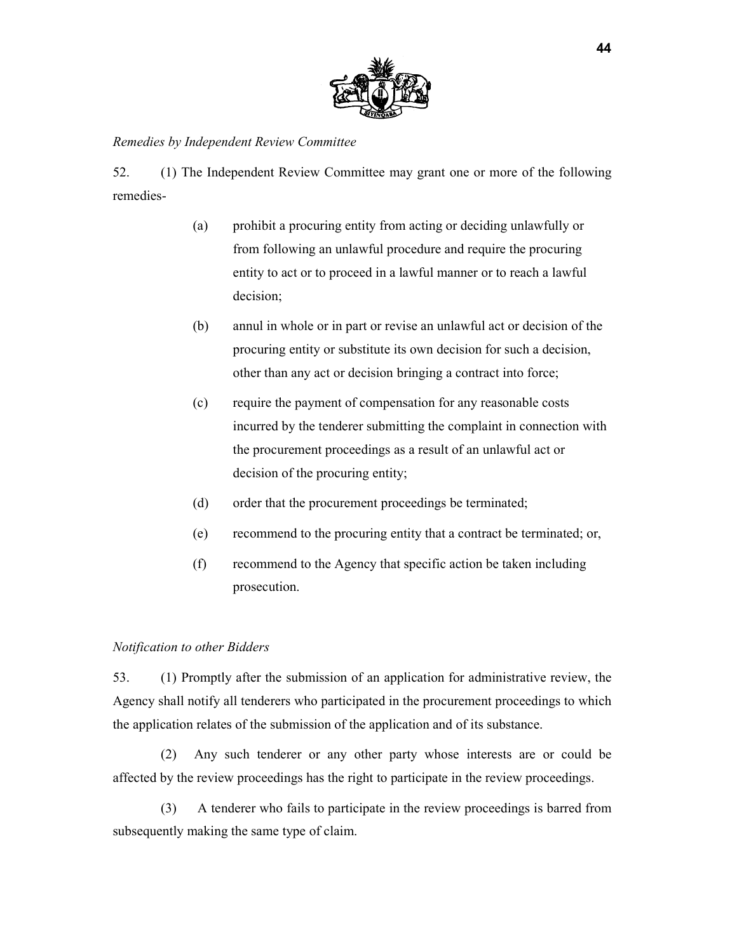

#### *Remedies by Independent Review Committee*

52. (1) The Independent Review Committee may grant one or more of the following remedies-

- (a) prohibit a procuring entity from acting or deciding unlawfully or from following an unlawful procedure and require the procuring entity to act or to proceed in a lawful manner or to reach a lawful decision;
- (b) annul in whole or in part or revise an unlawful act or decision of the procuring entity or substitute its own decision for such a decision, other than any act or decision bringing a contract into force;
- (c) require the payment of compensation for any reasonable costs incurred by the tenderer submitting the complaint in connection with the procurement proceedings as a result of an unlawful act or decision of the procuring entity;
- (d) order that the procurement proceedings be terminated;
- (e) recommend to the procuring entity that a contract be terminated; or,
- (f) recommend to the Agency that specific action be taken including prosecution.

#### *Notification to other Bidders*

53. (1) Promptly after the submission of an application for administrative review, the Agency shall notify all tenderers who participated in the procurement proceedings to which the application relates of the submission of the application and of its substance.

(2) Any such tenderer or any other party whose interests are or could be affected by the review proceedings has the right to participate in the review proceedings.

(3) A tenderer who fails to participate in the review proceedings is barred from subsequently making the same type of claim.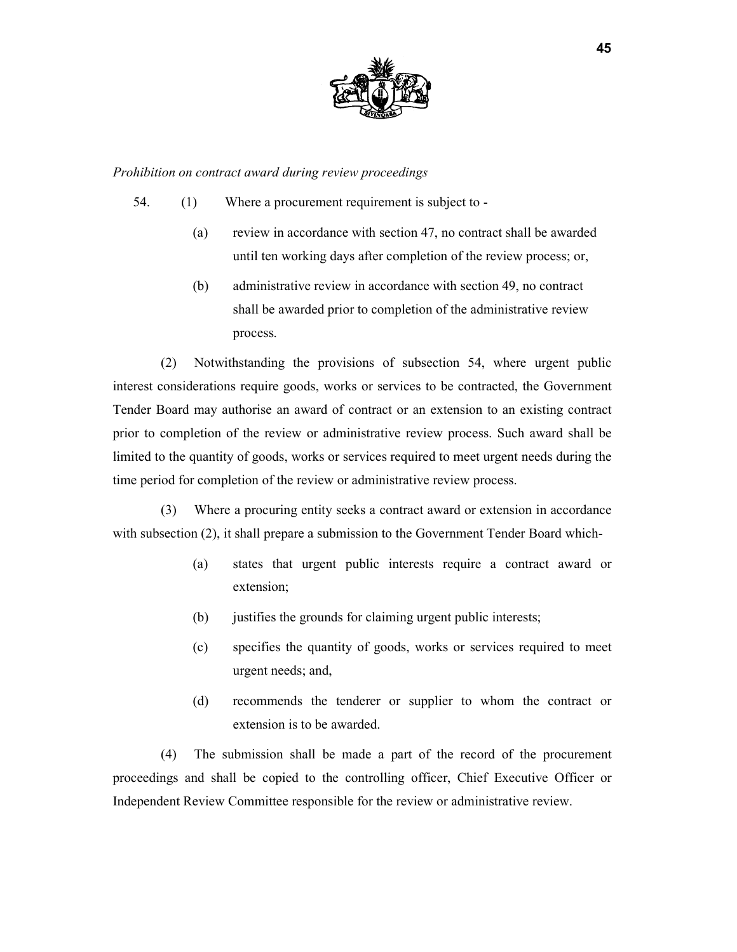

*Prohibition on contract award during review proceedings* 

- 54. (1) Where a procurement requirement is subject to
	- (a) review in accordance with section 47, no contract shall be awarded until ten working days after completion of the review process; or,
	- (b) administrative review in accordance with section 49, no contract shall be awarded prior to completion of the administrative review process.

(2) Notwithstanding the provisions of subsection 54, where urgent public interest considerations require goods, works or services to be contracted, the Government Tender Board may authorise an award of contract or an extension to an existing contract prior to completion of the review or administrative review process. Such award shall be limited to the quantity of goods, works or services required to meet urgent needs during the time period for completion of the review or administrative review process.

(3) Where a procuring entity seeks a contract award or extension in accordance with subsection (2), it shall prepare a submission to the Government Tender Board which-

- (a) states that urgent public interests require a contract award or extension;
- (b) justifies the grounds for claiming urgent public interests;
- (c) specifies the quantity of goods, works or services required to meet urgent needs; and,
- (d) recommends the tenderer or supplier to whom the contract or extension is to be awarded.

(4) The submission shall be made a part of the record of the procurement proceedings and shall be copied to the controlling officer, Chief Executive Officer or Independent Review Committee responsible for the review or administrative review.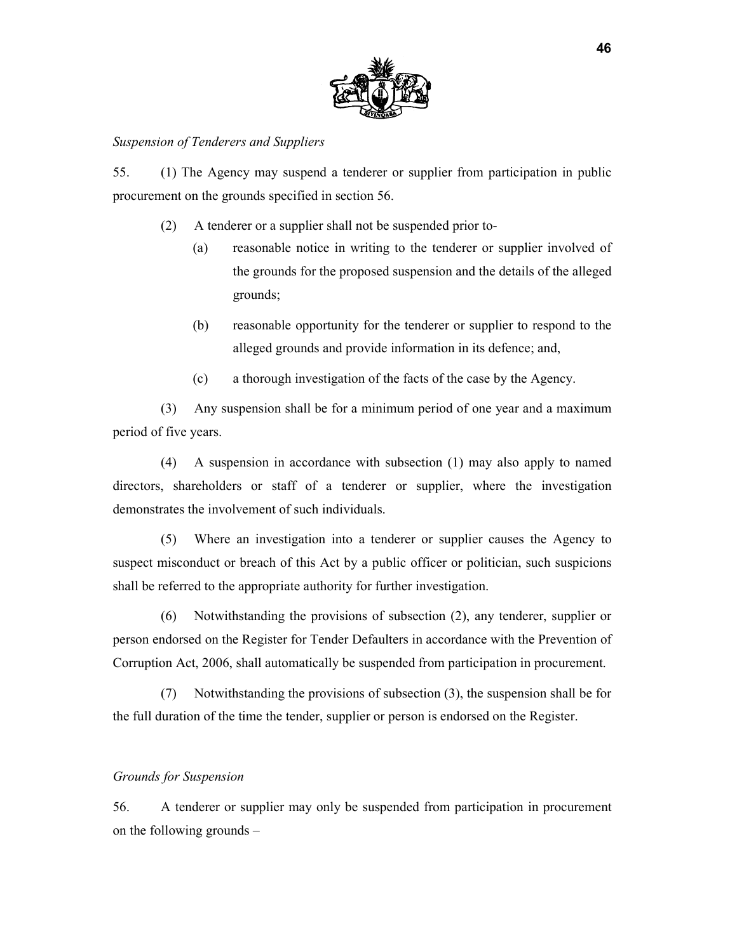

#### *Suspension of Tenderers and Suppliers*

55. (1) The Agency may suspend a tenderer or supplier from participation in public procurement on the grounds specified in section 56.

- (2) A tenderer or a supplier shall not be suspended prior to-
	- (a) reasonable notice in writing to the tenderer or supplier involved of the grounds for the proposed suspension and the details of the alleged grounds;
	- (b) reasonable opportunity for the tenderer or supplier to respond to the alleged grounds and provide information in its defence; and,
	- (c) a thorough investigation of the facts of the case by the Agency.

(3) Any suspension shall be for a minimum period of one year and a maximum period of five years.

(4) A suspension in accordance with subsection (1) may also apply to named directors, shareholders or staff of a tenderer or supplier, where the investigation demonstrates the involvement of such individuals.

(5) Where an investigation into a tenderer or supplier causes the Agency to suspect misconduct or breach of this Act by a public officer or politician, such suspicions shall be referred to the appropriate authority for further investigation.

(6) Notwithstanding the provisions of subsection (2), any tenderer, supplier or person endorsed on the Register for Tender Defaulters in accordance with the Prevention of Corruption Act, 2006, shall automatically be suspended from participation in procurement.

(7) Notwithstanding the provisions of subsection (3), the suspension shall be for the full duration of the time the tender, supplier or person is endorsed on the Register.

## *Grounds for Suspension*

56. A tenderer or supplier may only be suspended from participation in procurement on the following grounds –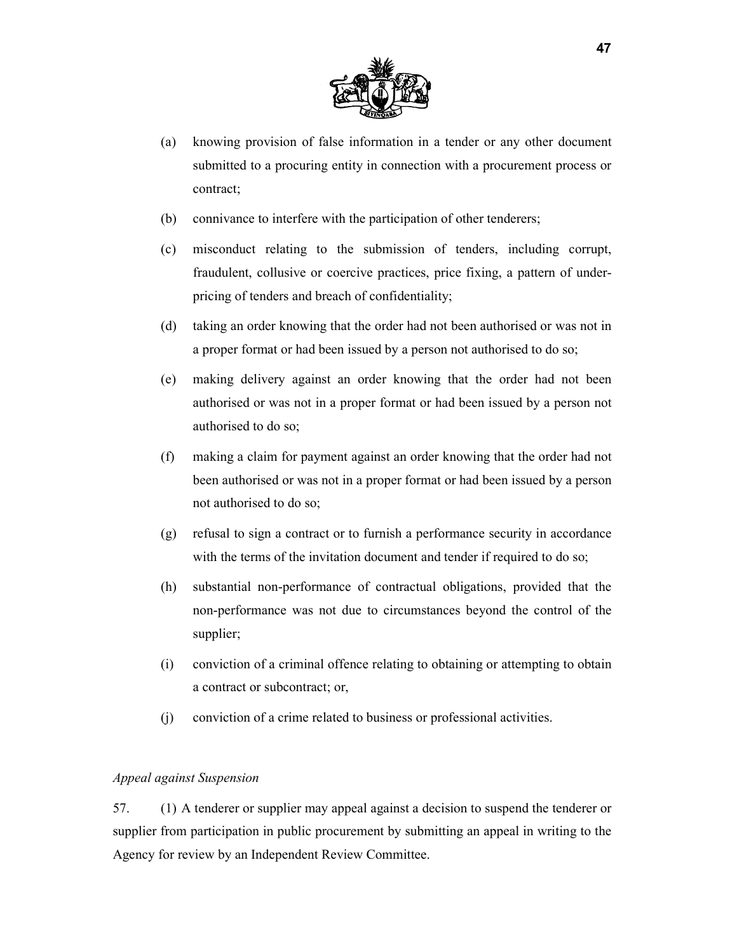

- (a) knowing provision of false information in a tender or any other document submitted to a procuring entity in connection with a procurement process or contract;
- (b) connivance to interfere with the participation of other tenderers;
- (c) misconduct relating to the submission of tenders, including corrupt, fraudulent, collusive or coercive practices, price fixing, a pattern of underpricing of tenders and breach of confidentiality;
- (d) taking an order knowing that the order had not been authorised or was not in a proper format or had been issued by a person not authorised to do so;
- (e) making delivery against an order knowing that the order had not been authorised or was not in a proper format or had been issued by a person not authorised to do so;
- (f) making a claim for payment against an order knowing that the order had not been authorised or was not in a proper format or had been issued by a person not authorised to do so;
- (g) refusal to sign a contract or to furnish a performance security in accordance with the terms of the invitation document and tender if required to do so;
- (h) substantial non-performance of contractual obligations, provided that the non-performance was not due to circumstances beyond the control of the supplier;
- (i) conviction of a criminal offence relating to obtaining or attempting to obtain a contract or subcontract; or,
- (j) conviction of a crime related to business or professional activities.

## *Appeal against Suspension*

57. (1) A tenderer or supplier may appeal against a decision to suspend the tenderer or supplier from participation in public procurement by submitting an appeal in writing to the Agency for review by an Independent Review Committee.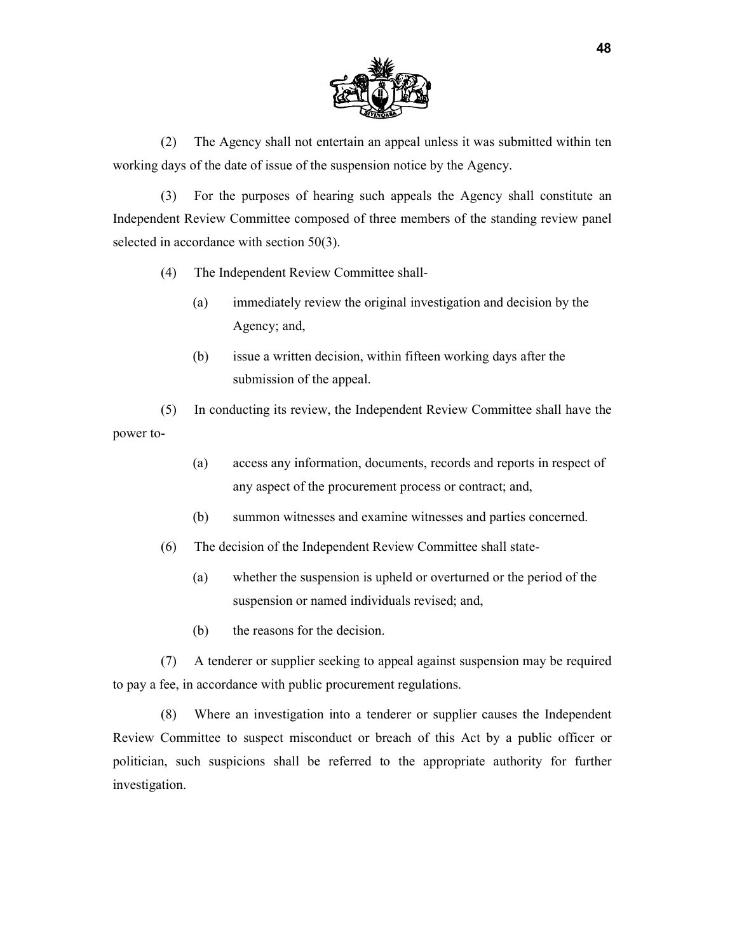

(2) The Agency shall not entertain an appeal unless it was submitted within ten working days of the date of issue of the suspension notice by the Agency.

(3) For the purposes of hearing such appeals the Agency shall constitute an Independent Review Committee composed of three members of the standing review panel selected in accordance with section 50(3).

- (4) The Independent Review Committee shall-
	- (a) immediately review the original investigation and decision by the Agency; and,
	- (b) issue a written decision, within fifteen working days after the submission of the appeal.

(5) In conducting its review, the Independent Review Committee shall have the power to-

- (a) access any information, documents, records and reports in respect of any aspect of the procurement process or contract; and,
- (b) summon witnesses and examine witnesses and parties concerned.
- (6) The decision of the Independent Review Committee shall state-
	- (a) whether the suspension is upheld or overturned or the period of the suspension or named individuals revised; and,
	- (b) the reasons for the decision.

(7) A tenderer or supplier seeking to appeal against suspension may be required to pay a fee, in accordance with public procurement regulations.

(8) Where an investigation into a tenderer or supplier causes the Independent Review Committee to suspect misconduct or breach of this Act by a public officer or politician, such suspicions shall be referred to the appropriate authority for further investigation.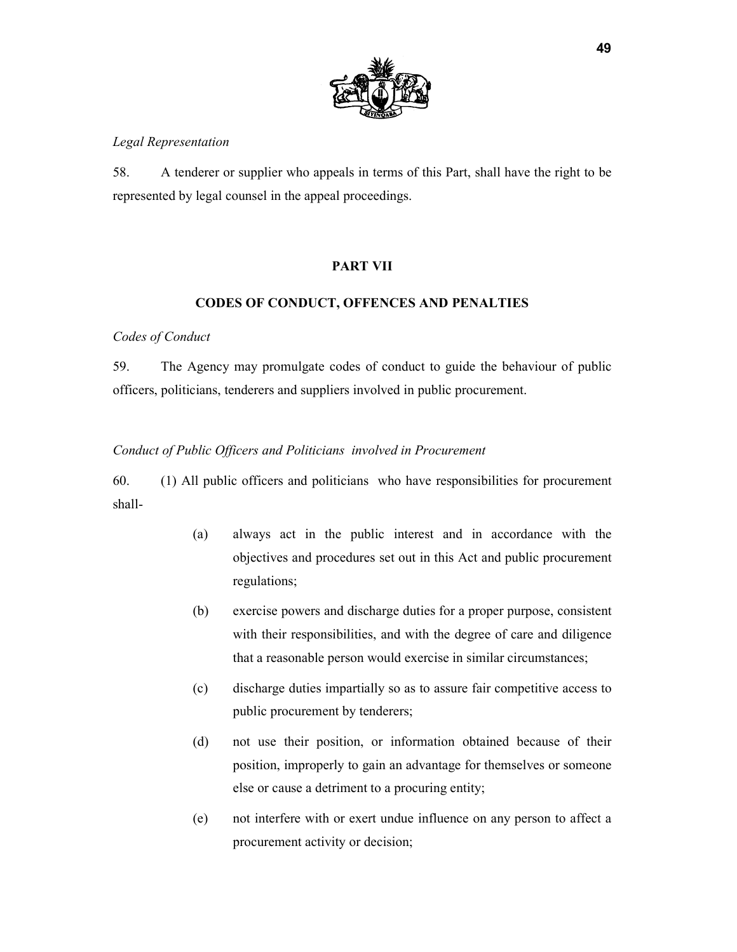

## *Legal Representation*

58. A tenderer or supplier who appeals in terms of this Part, shall have the right to be represented by legal counsel in the appeal proceedings.

## **PART VII**

## **CODES OF CONDUCT, OFFENCES AND PENALTIES**

## *Codes of Conduct*

59. The Agency may promulgate codes of conduct to guide the behaviour of public officers, politicians, tenderers and suppliers involved in public procurement.

## *Conduct of Public Officers and Politicians involved in Procurement*

60. (1) All public officers and politicians who have responsibilities for procurement shall-

- (a) always act in the public interest and in accordance with the objectives and procedures set out in this Act and public procurement regulations;
- (b) exercise powers and discharge duties for a proper purpose, consistent with their responsibilities, and with the degree of care and diligence that a reasonable person would exercise in similar circumstances;
- (c) discharge duties impartially so as to assure fair competitive access to public procurement by tenderers;
- (d) not use their position, or information obtained because of their position, improperly to gain an advantage for themselves or someone else or cause a detriment to a procuring entity;
- (e) not interfere with or exert undue influence on any person to affect a procurement activity or decision;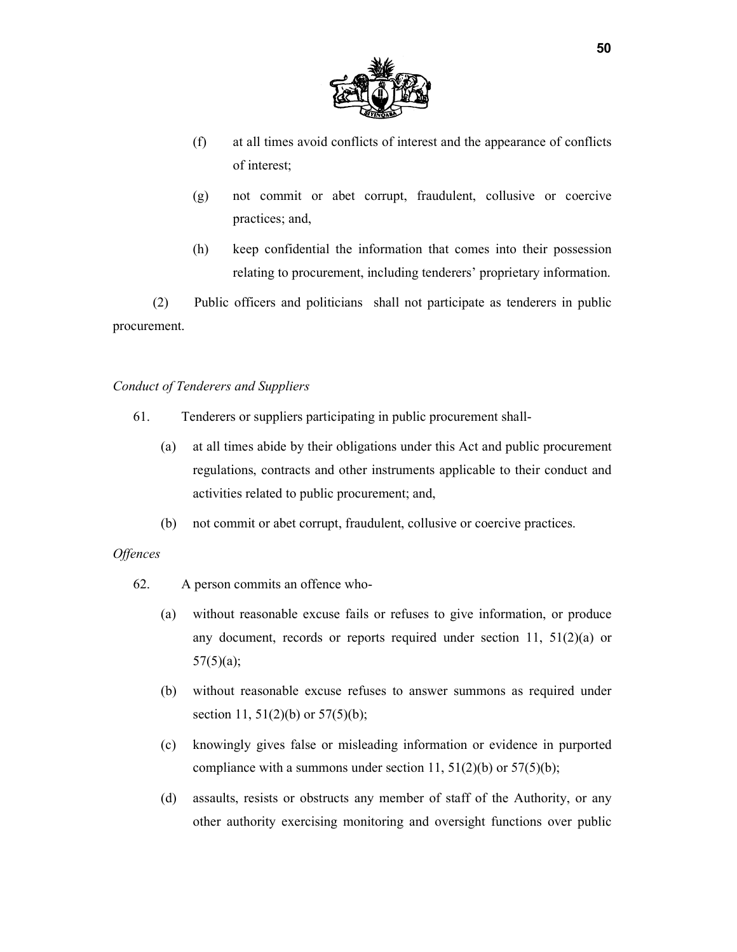

- (f) at all times avoid conflicts of interest and the appearance of conflicts of interest;
- (g) not commit or abet corrupt, fraudulent, collusive or coercive practices; and,
- (h) keep confidential the information that comes into their possession relating to procurement, including tenderers' proprietary information.

(2) Public officers and politicians shall not participate as tenderers in public procurement.

#### *Conduct of Tenderers and Suppliers*

- 61. Tenderers or suppliers participating in public procurement shall-
	- (a) at all times abide by their obligations under this Act and public procurement regulations, contracts and other instruments applicable to their conduct and activities related to public procurement; and,
	- (b) not commit or abet corrupt, fraudulent, collusive or coercive practices.

#### *Offences*

- 62. A person commits an offence who-
	- (a) without reasonable excuse fails or refuses to give information, or produce any document, records or reports required under section 11,  $51(2)(a)$  or  $57(5)(a);$
	- (b) without reasonable excuse refuses to answer summons as required under section 11, 51(2)(b) or 57(5)(b);
	- (c) knowingly gives false or misleading information or evidence in purported compliance with a summons under section 11,  $51(2)(b)$  or  $57(5)(b)$ ;
	- (d) assaults, resists or obstructs any member of staff of the Authority, or any other authority exercising monitoring and oversight functions over public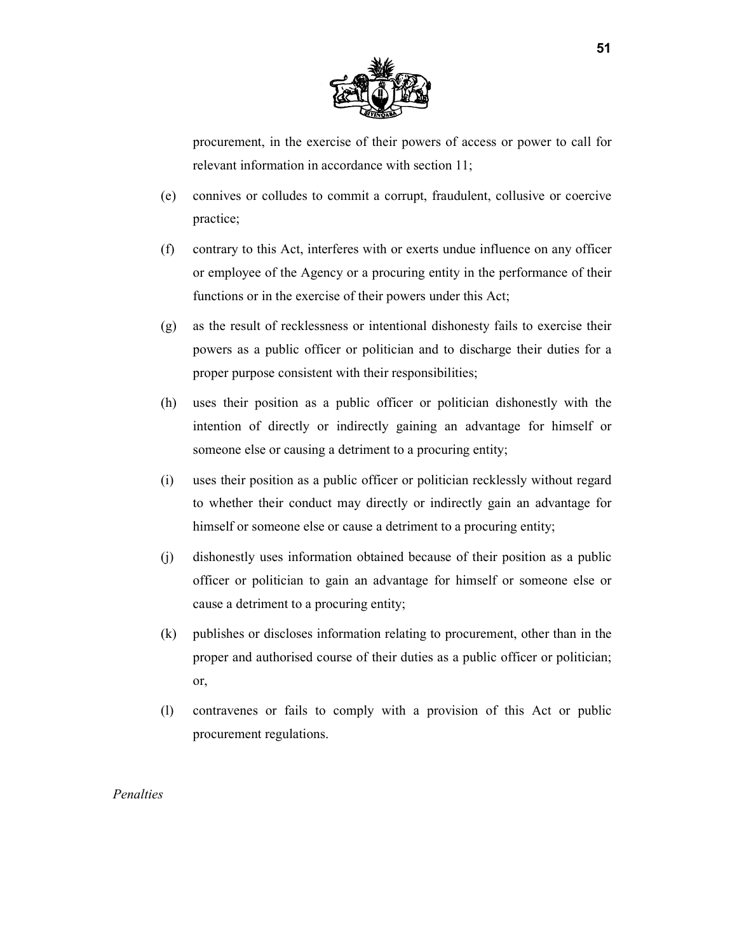

procurement, in the exercise of their powers of access or power to call for relevant information in accordance with section 11;

- (e) connives or colludes to commit a corrupt, fraudulent, collusive or coercive practice;
- (f) contrary to this Act, interferes with or exerts undue influence on any officer or employee of the Agency or a procuring entity in the performance of their functions or in the exercise of their powers under this Act;
- (g) as the result of recklessness or intentional dishonesty fails to exercise their powers as a public officer or politician and to discharge their duties for a proper purpose consistent with their responsibilities;
- (h) uses their position as a public officer or politician dishonestly with the intention of directly or indirectly gaining an advantage for himself or someone else or causing a detriment to a procuring entity;
- (i) uses their position as a public officer or politician recklessly without regard to whether their conduct may directly or indirectly gain an advantage for himself or someone else or cause a detriment to a procuring entity;
- (j) dishonestly uses information obtained because of their position as a public officer or politician to gain an advantage for himself or someone else or cause a detriment to a procuring entity;
- (k) publishes or discloses information relating to procurement, other than in the proper and authorised course of their duties as a public officer or politician; or,
- (l) contravenes or fails to comply with a provision of this Act or public procurement regulations.

*Penalties*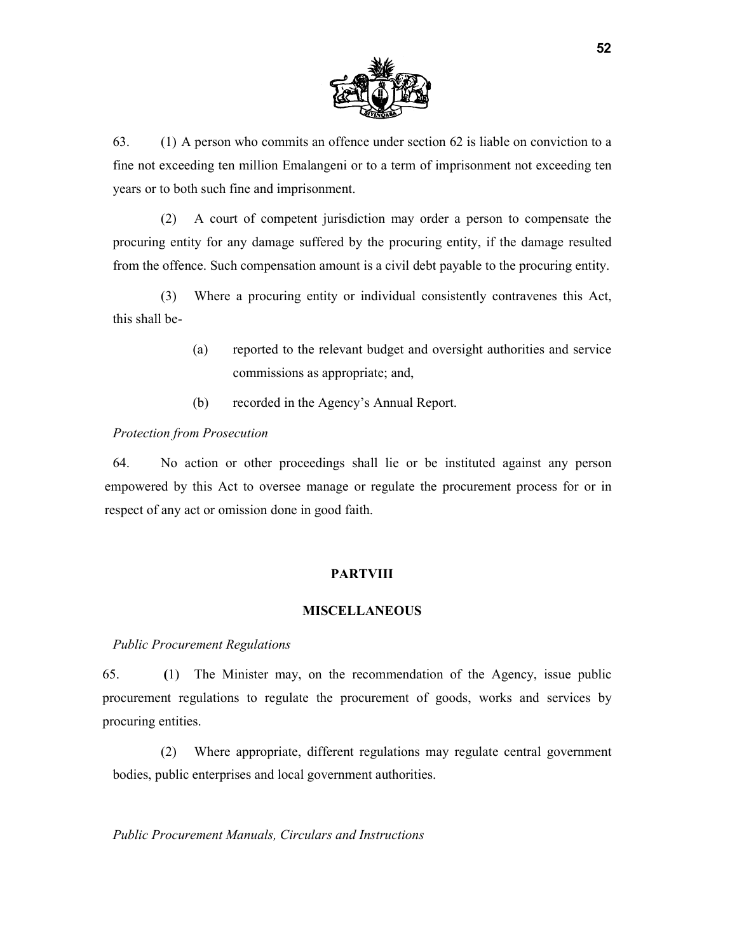

63. (1) A person who commits an offence under section 62 is liable on conviction to a fine not exceeding ten million Emalangeni or to a term of imprisonment not exceeding ten years or to both such fine and imprisonment.

(2) A court of competent jurisdiction may order a person to compensate the procuring entity for any damage suffered by the procuring entity, if the damage resulted from the offence. Such compensation amount is a civil debt payable to the procuring entity.

(3) Where a procuring entity or individual consistently contravenes this Act, this shall be-

- (a) reported to the relevant budget and oversight authorities and service commissions as appropriate; and,
- (b) recorded in the Agency's Annual Report.

## *Protection from Prosecution*

64. No action or other proceedings shall lie or be instituted against any person empowered by this Act to oversee manage or regulate the procurement process for or in respect of any act or omission done in good faith.

# **PARTVIII**

# **MISCELLANEOUS**

## *Public Procurement Regulations*

65. **(**1) The Minister may, on the recommendation of the Agency, issue public procurement regulations to regulate the procurement of goods, works and services by procuring entities.

(2) Where appropriate, different regulations may regulate central government bodies, public enterprises and local government authorities.

*Public Procurement Manuals, Circulars and Instructions*